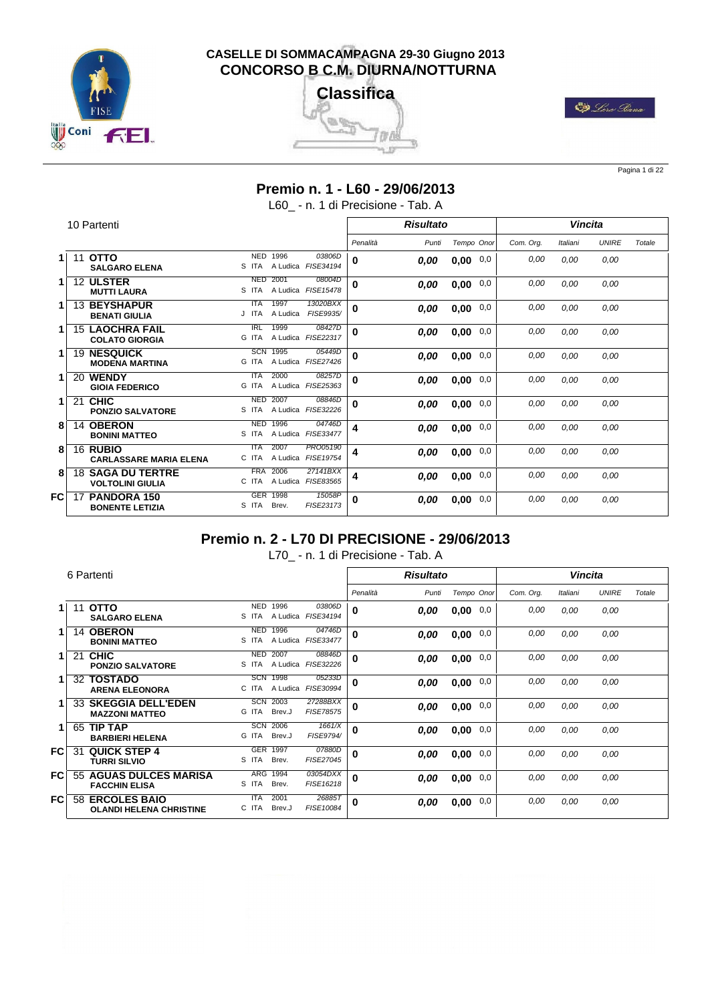





Pagina 1 di 22

#### **Premio n. 1 - L60 - 29/06/2013**

L60 - n. 1 di Precisione - Tab. A

|    |    | 10 Partenti                                         |                                                                  |             | <b>Risultato</b> |             |           | <b>Vincita</b> |              |        |
|----|----|-----------------------------------------------------|------------------------------------------------------------------|-------------|------------------|-------------|-----------|----------------|--------------|--------|
|    |    |                                                     |                                                                  | Penalità    | Punti            | Tempo Onor  | Com. Org. | Italiani       | <b>UNIRE</b> | Totale |
|    | 11 | <b>OTTO</b><br><b>SALGARO ELENA</b>                 | <b>NED</b><br>1996<br>03806D<br>A Ludica FISE34194<br>S ITA      | 0           | 0,00             | 0,00<br>0,0 | 0,00      | 0,00           | 0.00         |        |
|    |    | 12 ULSTER<br><b>MUTTI LAURA</b>                     | 2001<br>08004D<br><b>NED</b><br>S ITA<br>A Ludica FISE15478      | $\mathbf 0$ | 0,00             | 0,0<br>0,00 | 0,00      | 0,00           | 0.00         |        |
|    |    | <b>13 BEYSHAPUR</b><br><b>BENATI GIULIA</b>         | 1997<br>13020BXX<br><b>ITA</b><br>FISE9935/<br>J ITA<br>A Ludica | $\mathbf 0$ | 0,00             | 0,0<br>0,00 | 0,00      | 0.00           | 0,00         |        |
|    |    | <b>15 LAOCHRA FAIL</b><br><b>COLATO GIORGIA</b>     | 1999<br><b>IRL</b><br>08427D<br>A Ludica FISE22317<br>G ITA      | $\mathbf 0$ | 0,00             | 0,0<br>0,00 | 0,00      | 0.00           | 0.00         |        |
|    | 19 | <b>NESQUICK</b><br><b>MODENA MARTINA</b>            | SCN<br>1995<br>05449D<br>A Ludica FISE27426<br>G ITA             | 0           | 0,00             | 0,0<br>0,00 | 0,00      | 0.00           | 0.00         |        |
| 1. | 20 | <b>WENDY</b><br><b>GIOIA FEDERICO</b>               | 2000<br>08257D<br><b>ITA</b><br>A Ludica FISE25363<br>G ITA      | 0           | 0,00             | 0,00<br>0,0 | 0,00      | 0.00           | 0.00         |        |
| 1. | 21 | <b>CHIC</b><br><b>PONZIO SALVATORE</b>              | 2007<br><b>NED</b><br>08846D<br>A Ludica FISE32226<br>S ITA      | 0           | 0,00             | 0,00<br>0,0 | 0,00      | 0,00           | 0,00         |        |
| 8  | 14 | <b>OBERON</b><br><b>BONINI MATTEO</b>               | <b>NED</b><br>1996<br>04746D<br>A Ludica FISE33477<br>S ITA      | 4           | 0,00             | 0,00<br>0,0 | 0,00      | 0,00           | 0.00         |        |
| 8  |    | 16 RUBIO<br><b>CARLASSARE MARIA ELENA</b>           | 2007<br>PR005190<br><b>ITA</b><br>FISE19754<br>A Ludica<br>C ITA | 4           | 0,00             | 0,0<br>0,00 | 0,00      | 0.00           | 0.00         |        |
| 8  |    | <b>18 SAGA DU TERTRE</b><br><b>VOLTOLINI GIULIA</b> | <b>FRA</b><br>2006<br>27141BXX<br>FISE83565<br>A Ludica<br>C ITA | 4           | 0,00             | 0,0<br>0,00 | 0,00      | 0.00           | 0,00         |        |
| FC | 17 | <b>PANDORA 150</b><br><b>BONENTE LETIZIA</b>        | <b>GER</b><br>1998<br>15058P<br>FISE23173<br>Brev.<br>S ITA      | 0           | 0,00             | 0,00<br>0,0 | 0.00      | 0.00           | 0.00         |        |

# **Premio n. 2 - L70 DI PRECISIONE - 29/06/2013**

L70\_ - n. 1 di Precisione - Tab. A

|    |    | 6 Partenti                                            |                                         |                              |          | <b>Risultato</b> |                  |          |           | <b>Vincita</b> |              |        |
|----|----|-------------------------------------------------------|-----------------------------------------|------------------------------|----------|------------------|------------------|----------|-----------|----------------|--------------|--------|
|    |    |                                                       |                                         |                              | Penalità | Punti            | Tempo Onor       |          | Com. Org. | Italiani       | <b>UNIRE</b> | Totale |
|    | 11 | <b>OTTO</b><br><b>SALGARO ELENA</b>                   | <b>NED</b><br>1996<br>A Ludica<br>S ITA | 03806D<br>FISE34194          | 0        | 0,00             | 0,0<br>0,00      |          | 0,00      | 0.00           | 0,00         |        |
|    | 14 | <b>OBERON</b><br><b>BONINI MATTEO</b>                 | 1996<br><b>NED</b><br>S ITA<br>A Ludica | 04746D<br>FISE33477          | 0        | 0,00             | 0,0<br>0,00      |          | 0,00      | 0.00           | 0,00         |        |
|    | 21 | <b>CHIC</b><br><b>PONZIO SALVATORE</b>                | <b>NED</b><br>2007<br>S ITA             | 08846D<br>A Ludica FISE32226 | $\bf{0}$ | 0,00             | 0,00             | 0,0      | 0,00      | 0,00           | 0,00         |        |
|    | 32 | <b>TOSTADO</b><br><b>ARENA ELEONORA</b>               | <b>SCN</b><br>1998<br>C ITA<br>A Ludica | 05233D<br>FISE30994          | 0        | 0,00             | 0,0<br>0,00      |          | 0,00      | 0,00           | 0,00         |        |
|    | 33 | <b>SKEGGIA DELL'EDEN</b><br><b>MAZZONI MATTEO</b>     | SCN<br>2003<br>G ITA<br>Brev.J          | 27288BXX<br><b>FISE78575</b> | 0        | 0,00             | 0,0<br>0,00      |          | 0,00      | 0,00           | 0.00         |        |
| 1. | 65 | <b>TIP TAP</b><br><b>BARBIERI HELENA</b>              | <b>SCN</b><br>2006<br>G ITA<br>Brev.J   | 1661/X<br>FISE9794/          | 0        | 0,00             | 0,00             | $_{0,0}$ | 0,00      | 0.00           | 0,00         |        |
| FC | 31 | <b>QUICK STEP 4</b><br><b>TURRI SILVIO</b>            | GER 1997<br>S ITA<br>Brev.              | 07880D<br>FISE27045          | 0        | 0,00             | $_{0,0}$<br>0,00 |          | 0,00      | 0.00           | 0,00         |        |
| FC | 55 | <b>AGUAS DULCES MARISA</b><br><b>FACCHIN ELISA</b>    | <b>ARG</b><br>1994<br>S ITA<br>Brev.    | 03054DXX<br>FISE16218        | $\bf{0}$ | 0.00             | 0,00             | 0,0      | 0,00      | 0,00           | 0,00         |        |
| FC | 58 | <b>ERCOLES BAIO</b><br><b>OLANDI HELENA CHRISTINE</b> | <b>ITA</b><br>2001<br>C ITA<br>Brev.J   | 26885T<br>FISE10084          | $\bf{0}$ | 0.00             | 0,0<br>0,00      |          | 0,00      | 0.00           | 0,00         |        |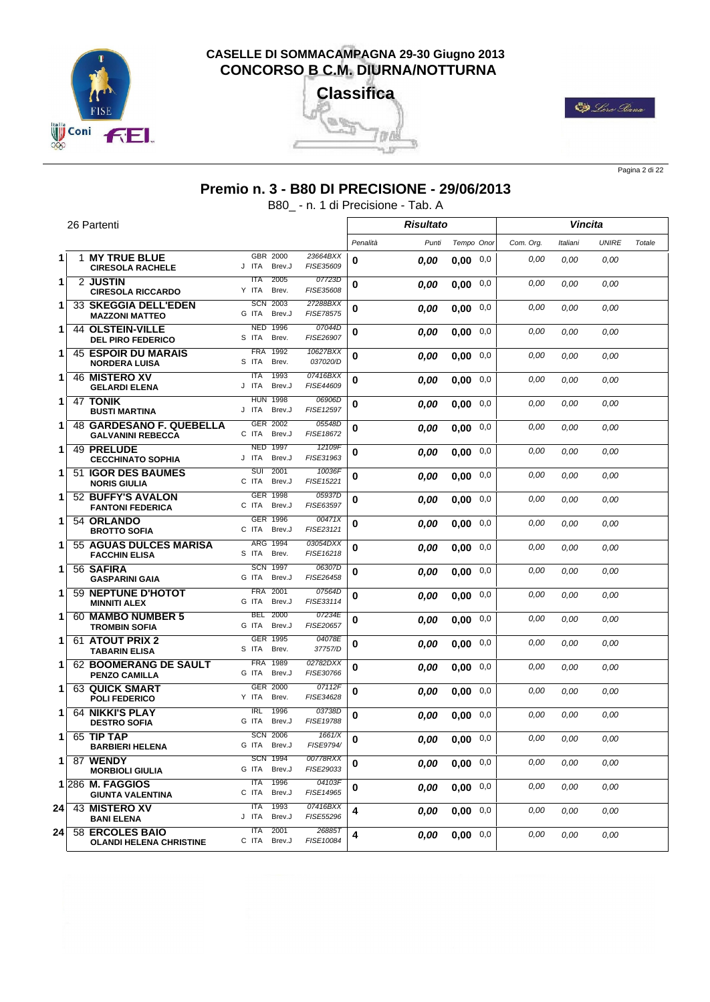





Pagina 2 di 22

# **Premio n. 3 - B80 DI PRECISIONE - 29/06/2013**

B80\_ - n. 1 di Precisione - Tab. A

|    | 26 Partenti                                          |                                                    |                       |          | <b>Risultato</b> |                  |          |           |          | Vincita      |        |
|----|------------------------------------------------------|----------------------------------------------------|-----------------------|----------|------------------|------------------|----------|-----------|----------|--------------|--------|
|    |                                                      |                                                    |                       | Penalità | Punti            | Tempo Onor       |          | Com. Org. | Italiani | <b>UNIRE</b> | Totale |
| 1  | <b>1 MY TRUE BLUE</b><br><b>CIRESOLA RACHELE</b>     | GBR 2000<br>Brev.J<br>J ITA                        | 23664BXX<br>FISE35609 | 0        | 0,00             | $0.00 \quad 0.0$ |          | 0.00      | 0.00     | 0,00         |        |
| 1  | 2 JUSTIN<br><b>CIRESOLA RICCARDO</b>                 | 2005<br><b>ITA</b><br>Brev.<br>Y ITA               | 07723D<br>FISE35608   | 0        | 0.00             | 0,00             | 0,0      | 0,00      | 0.00     | 0.00         |        |
| 1  | <b>33 SKEGGIA DELL'EDEN</b><br><b>MAZZONI MATTEO</b> | 2003<br><b>SCN</b><br>G ITA<br>Brev.J              | 27288BXX<br>FISE78575 | 0        | 0,00             | 0,00             | 0,0      | 0,00      | 0.00     | 0,00         |        |
| 1  | <b>44 OLSTEIN-VILLE</b><br><b>DEL PIRO FEDERICO</b>  | <b>NED 1996</b><br>S ITA<br>Brev.                  | 07044D<br>FISE26907   | 0        | 0,00             | 0,00             | 0,0      | 0,00      | 0,00     | 0,00         |        |
| 1  | <b>45 ESPOIR DU MARAIS</b><br><b>NORDERA LUISA</b>   | 1992<br><b>FRA</b><br>S ITA<br>Brev.               | 10627BXX<br>037020/D  | 0        | 0.00             | 0,00             | 0,0      | 0.00      | 0,00     | 0,00         |        |
| 1  | <b>46 MISTERO XV</b><br><b>GELARDI ELENA</b>         | <b>ITA</b><br>1993<br>J ITA<br>Brev.J              | 07416BXX<br>FISE44609 | 0        | 0,00             | 0,00             | 0,0      | 0,00      | 0.00     | 0,00         |        |
| 1  | 47 TONIK<br><b>BUSTI MARTINA</b>                     | <b>HUN 1998</b><br>Brev.J<br>J ITA                 | 06906D<br>FISE12597   | 0        | 0,00             | 0,00             | 0,0      | 0,00      | 0,00     | 0,00         |        |
| 1  | 48 GARDESANO F. QUEBELLA<br><b>GALVANINI REBECCA</b> | 2002<br><b>GER</b><br>C ITA<br>Brev.J              | 05548D<br>FISE18672   | 0        | 0.00             | 0.00             | 0,0      | 0,00      | 0,00     | 0,00         |        |
| 1  | 49 PRELUDE<br><b>CECCHINATO SOPHIA</b>               | 1997<br><b>NED</b><br>J ITA<br>Brev.J              | 12109F<br>FISE31963   | 0        | 0,00             | 0,00             | $_{0,0}$ | 0,00      | 0,00     | 0,00         |        |
| 1  | 51 IGOR DES BAUMES<br><b>NORIS GIULIA</b>            | suī<br>2001<br>C ITA<br>Brev.J                     | 10036F<br>FISE15221   | 0        | 0,00             | 0,00             | 0,0      | 0.00      | 0,00     | 0,00         |        |
| 1  | 52 BUFFY'S AVALON<br><b>FANTONI FEDERICA</b>         | <b>GER 1998</b><br>C ITA<br>Brev.J                 | 05937D<br>FISE63597   | 0        | 0.00             | 0,00             | 0,0      | 0.00      | 0.00     | 0,00         |        |
| 1  | 54 ORLANDO<br><b>BROTTO SOFIA</b>                    | GER 1996<br>C ITA<br>Brev.J                        | 00471X<br>FISE23121   | 0        | 0,00             | 0,00             | $_{0,0}$ | 0,00      | 0,00     | 0,00         |        |
| 1  | 55 AGUAS DULCES MARISA<br><b>FACCHIN ELISA</b>       | ARG 1994<br>S ITA<br>Brev.                         | 03054DXX<br>FISE16218 | 0        | 0,00             | 0,00             | 0,0      | 0,00      | 0,00     | 0,00         |        |
| 1  | 56 SAFIRA<br><b>GASPARINI GAIA</b>                   | <b>SCN 1997</b><br>G ITA<br>Brev.J                 | 06307D<br>FISE26458   | 0        | 0,00             | 0.00             | 0,0      | 0,00      | 0.00     | 0,00         |        |
| 1  | 59 NEPTUNE D'HOTOT<br><b>MINNITI ALEX</b>            | 2001<br><b>FRA</b><br>G ITA<br>Brev.J              | 07564D<br>FISE33114   | 0        | 0,00             | $0.00 \quad 0.0$ |          | 0,00      | 0,00     | 0,00         |        |
| 1  | 60 MAMBO NUMBER 5<br><b>TROMBIN SOFIA</b>            | <b>BEL</b><br>2000<br>G ITA<br>Brev.J              | 07234E<br>FISE20657   | 0        | 0,00             | 0,00             | 0,0      | 0.00      | 0,00     | 0,00         |        |
| 1  | 61 ATOUT PRIX 2<br><b>TABARIN ELISA</b>              | GER 1995<br>S ITA<br>Brev.                         | 04078E<br>37757/D     | 0        | 0,00             | 0,00             | 0,0      | 0.00      | 0,00     | 0,00         |        |
| 1  | 62 BOOMERANG DE SAULT<br><b>PENZO CAMILLA</b>        | <b>FRA</b><br>1989<br>G ITA<br>Brev.J              | 02782DXX<br>FISE30766 | 0        | 0.00             | $0.00 \quad 0.0$ |          | 0,00      | 0,00     | 0,00         |        |
| 1  | <b>63 QUICK SMART</b><br><b>POLI FEDERICO</b>        | <b>GER 2000</b><br>Y ITA<br>Brev.                  | 07112F<br>FISE34628   | 0        | 0.00             | 0,00             | 0,0      | 0,00      | 0,00     | 0,00         |        |
| 1  | <b>64 NIKKI'S PLAY</b><br><b>DESTRO SOFIA</b>        | $\overline{\text{IRL}}$<br>1996<br>G ITA<br>Brev.J | 03738D<br>FISE19788   | 0        | 0.00             | 0,00             | 0,0      | 0,00      | 0.00     | 0,00         |        |
| 1  | 65 TIP TAP<br><b>BARBIERI HELENA</b>                 | <b>SCN 2006</b><br>G ITA Brev.J                    | 1661/X<br>FISE9794/   | 0        | 0.00             | $0,00$ 0,0       |          | 0.00      | 0,00     | 0,00         |        |
| 1  | 87 WENDY<br><b>MORBIOLI GIULIA</b>                   | <b>SCN 1994</b><br>G ITA<br>Brev.J                 | 00778RXX<br>FISE29033 | 0        | 0.00             | $0,00$ 0,0       |          | 0,00      | 0.00     | 0.00         |        |
|    | 1 286 M. FAGGIOS<br><b>GIUNTA VALENTINA</b>          | <b>ITA</b><br>1996<br>C ITA<br>Brev.J              | 04103F<br>FISE14965   | 0        | 0.00             | $0,00$ 0,0       |          | 0,00      | 0,00     | 0,00         |        |
| 24 | 43 MISTERO XV<br><b>BANI ELENA</b>                   | 1993<br><b>ITA</b><br>J ITA<br>Brev.J              | 07416BXX<br>FISE55296 | 4        | 0,00             | $0,00$ 0,0       |          | 0,00      | 0,00     | 0,00         |        |
| 24 | 58 ERCOLES BAIO<br><b>OLANDI HELENA CHRISTINE</b>    | 2001<br><b>ITA</b><br>C ITA<br>Brev.J              | 26885T<br>FISE10084   | 4        | 0.00             | $0,00$ 0,0       |          | 0.00      | 0,00     | 0,00         |        |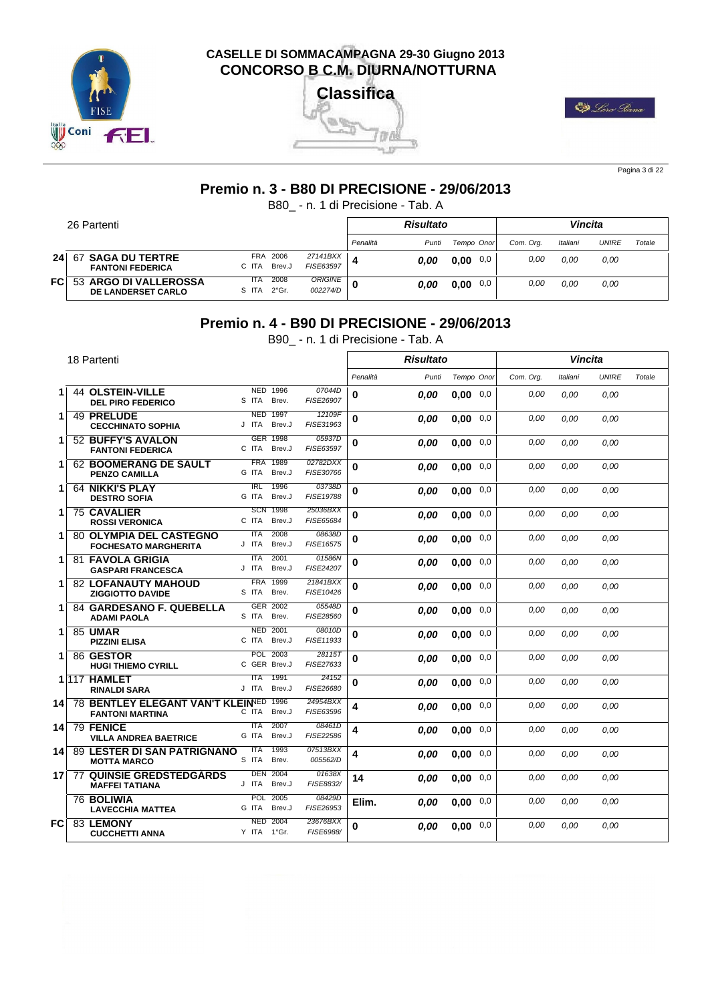





Pagina 3 di 22

#### **Premio n. 3 - B80 DI PRECISIONE - 29/06/2013**

B80\_ - n. 1 di Precisione - Tab. A

|                 | 26 Partenti                                        |                     |                         |                         |          | <b>Risultato</b> |             |           | <b>Vincita</b> |       |        |
|-----------------|----------------------------------------------------|---------------------|-------------------------|-------------------------|----------|------------------|-------------|-----------|----------------|-------|--------|
|                 |                                                    |                     |                         |                         | Penalità | Punti            | Tempo Onor  | Com. Ora. | Italiani       | UNIRE | Totale |
| 24 <sub>1</sub> | 67 SAGA DU TERTRE<br><b>FANTONI FEDERICA</b>       | <b>FRA</b><br>C ITA | 2006<br>Brev.J          | 27141BXX  <br>FISE63597 |          | 0.00             | 0.00<br>0,0 | 0,00      | 0.00           | 0,00  |        |
| <b>FC</b>       | 53 ARGO DI VALLEROSSA<br><b>DE LANDERSET CARLO</b> | ITA<br>S ITA        | 2008<br>$2^{\circ}$ Gr. | ORIGINE<br>002274/D     | ŋ        | 0.00             | 0,0<br>0,00 | 0,00      | 0.00           | 0.00  |        |

#### **Premio n. 4 - B90 DI PRECISIONE - 29/06/2013**

B90\_ - n. 1 di Precisione - Tab. A

|                 | 18 Partenti                                                       |                                  |                          |                       |          | <b>Risultato</b> |            |     |           | <b>Vincita</b> |              |        |
|-----------------|-------------------------------------------------------------------|----------------------------------|--------------------------|-----------------------|----------|------------------|------------|-----|-----------|----------------|--------------|--------|
|                 |                                                                   |                                  |                          |                       | Penalità | Punti            | Tempo Onor |     | Com. Org. | Italiani       | <b>UNIRE</b> | Totale |
| 1               | <b>44 OLSTEIN-VILLE</b><br><b>DEL PIRO FEDERICO</b>               | S ITA                            | NED 1996<br>Brev.        | 07044D<br>FISE26907   | 0        | 0.00             | 0.00       | 0,0 | 0,00      | 0.00           | 0.00         |        |
| 1.              | 49 PRELUDE<br><b>CECCHINATO SOPHIA</b>                            | <b>NED</b><br>J ITA              | 1997<br>Brev.J           | 12109F<br>FISE31963   | 0        | 0,00             | 0.00       | 0,0 | 0,00      | 0,00           | 0.00         |        |
| 1.              | 52 BUFFY'S AVALON<br><b>FANTONI FEDERICA</b>                      | GER<br>C ITA                     | 1998<br>Brev.J           | 05937D<br>FISE63597   | 0        | 0,00             | 0,00       | 0,0 | 0.00      | 0.00           | 0.00         |        |
| 1               | <b>62 BOOMERANG DE SAULT</b><br><b>PENZO CAMILLA</b>              | <b>FRA</b><br>G ITA              | 1989<br>Brev.J           | 02782DXX<br>FISE30766 | 0        | 0,00             | 0,00       | 0,0 | 0,00      | 0.00           | 0.00         |        |
| 1.              | <b>64 NIKKI'S PLAY</b><br><b>DESTRO SOFIA</b>                     | $\overline{\text{IRL}}$<br>G ITA | 1996<br>Brev.J           | 03738D<br>FISE19788   | $\bf{0}$ | 0,00             | 0.00       | 0,0 | 0.00      | 0.00           | 0.00         |        |
| 1.              | <b>75 CAVALIER</b><br><b>ROSSI VERONICA</b>                       | <b>SCN</b><br>C ITA              | 1998<br>Brev.J           | 25036BXX<br>FISE65684 | 0        | 0.00             | 0.00       | 0,0 | 0.00      | 0.00           | 0.00         |        |
| 1               | <b>80 OLYMPIA DEL CASTEGNO</b><br><b>FOCHESATO MARGHERITA</b>     | <b>ITA</b><br>J ITA              | 2008<br>Brev.J           | 08638D<br>FISE16575   | 0        | 0,00             | 0.00       | 0,0 | 0.00      | 0.00           | 0.00         |        |
| 1               | 81 FAVOLA GRIGIA<br><b>GASPARI FRANCESCA</b>                      | <b>ITA</b><br>J ITA              | 2001<br>Brev.J           | 01586N<br>FISE24207   | 0        | 0.00             | 0.00       | 0,0 | 0.00      | 0.00           | 0.00         |        |
| 1.              | <b>82 LOFANAUTY MAHOUD</b><br><b>ZIGGIOTTO DAVIDE</b>             | <b>FRA</b><br>S ITA              | 1999<br>Brev.            | 21841BXX<br>FISE10426 | 0        | 0.00             | 0.00       | 0,0 | 0,00      | 0.00           | 0.00         |        |
| 1               | 84 GARDESANO F. QUEBELLA<br><b>ADAMI PAOLA</b>                    | S ITA                            | GER 2002<br>Brev.        | 05548D<br>FISE28560   | 0        | 0,00             | 0.00       | 0,0 | 0.00      | 0.00           | 0.00         |        |
| 1.              | <b>85 UMAR</b><br><b>PIZZINI ELISA</b>                            | <b>NED</b><br>C ITA              | 2001<br>Brev.J           | 08010D<br>FISE11933   | $\bf{0}$ | 0,00             | 0.00       | 0,0 | 0,00      | 0.00           | 0.00         |        |
| 1.              | 86 GESTOR<br><b>HUGI THIEMO CYRILL</b>                            |                                  | POL 2003<br>C GER Brev.J | 28115T<br>FISE27633   | $\bf{0}$ | 0.00             | 0.00       | 0,0 | 0,00      | 0.00           | 0.00         |        |
|                 | 1117 HAMLET<br><b>RINALDI SARA</b>                                | <b>ITA</b><br>J ITA              | 1991<br>Brev.J           | 24152<br>FISE26680    | 0        | 0,00             | 0.00       | 0,0 | 0.00      | 0.00           | 0.00         |        |
| 14 <sup>1</sup> | <b>78 BENTLEY ELEGANT VAN'T KLEINED</b><br><b>FANTONI MARTINA</b> | C ITA                            | 1996<br>Brev.J           | 24954BXX<br>FISE63596 | 4        | 0.00             | 0.00       | 0,0 | 0.00      | 0.00           | 0.00         |        |
| 14              | 79 FENICE<br><b>VILLA ANDREA BAETRICE</b>                         | <b>ITA</b><br>G ITA              | 2007<br>Brev.J           | 08461D<br>FISE22586   | 4        | 0.00             | 0.00       | 0,0 | 0.00      | 0.00           | 0.00         |        |
| 14              | <b>89 LESTER DI SAN PATRIGNANO</b><br><b>MOTTA MARCO</b>          | <b>ITA</b><br>S ITA              | 1993<br>Brev.            | 07513BXX<br>005562/D  | 4        | 0,00             | 0.00       | 0,0 | 0,00      | 0.00           | 0.00         |        |
| 17              | <b>77 QUINSIE GREDSTEDGARDS</b><br><b>MAFFEI TATIANA</b>          | <b>DEN</b><br>J ITA              | 2004<br>Brev.J           | 01638X<br>FISE8832/   | 14       | 0.00             | 0.00       | 0,0 | 0,00      | 0,00           | 0,00         |        |
|                 | 76 BOLIWIA<br><b>LAVECCHIA MATTEA</b>                             | <b>POL</b><br>G ITA              | 2005<br>Brev.J           | 08429D<br>FISE26953   | Elim.    | 0.00             | 0.00       | 0,0 | 0.00      | 0,00           | 0,00         |        |
| FC              | 83 LEMONY<br><b>CUCCHETTI ANNA</b>                                | Y ITA 1°Gr.                      | <b>NED 2004</b>          | 23676BXX<br>FISE6988/ | 0        | 0,00             | 0.00       | 0,0 | 0.00      | 0.00           | 0.00         |        |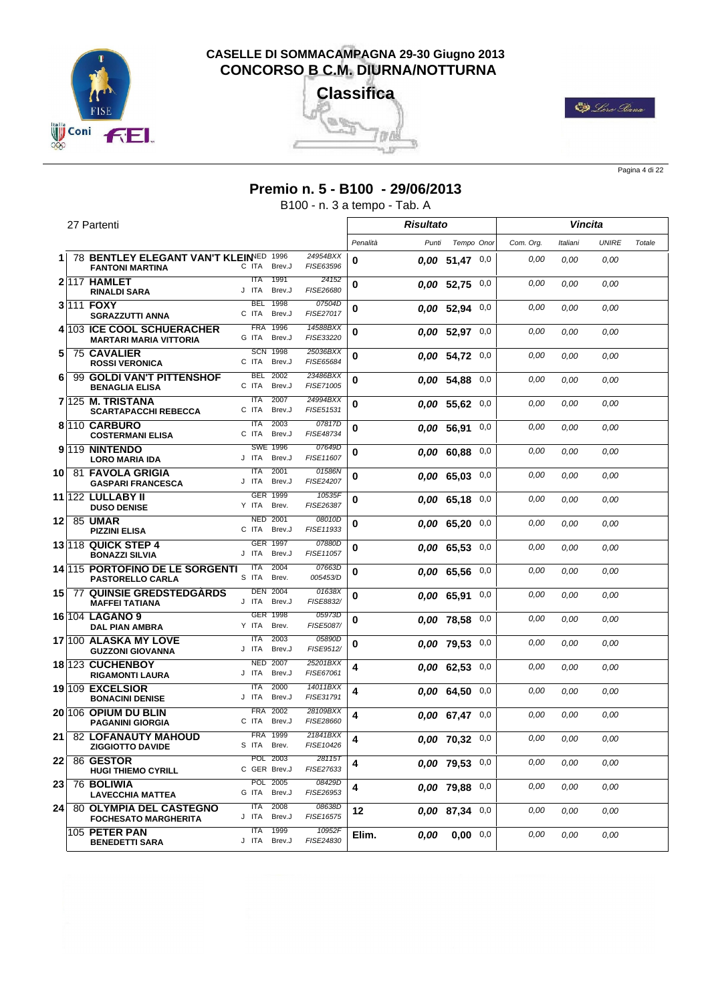





Pagina 4 di 22

# **Premio n. 5 - B100 - 29/06/2013**

B100 - n. 3 a tempo - Tab. A

|    | 27 Partenti                                                     |                                                          |                                   |          | <b>Risultato</b> |                    |          |           |          | Vincita      |        |
|----|-----------------------------------------------------------------|----------------------------------------------------------|-----------------------------------|----------|------------------|--------------------|----------|-----------|----------|--------------|--------|
|    |                                                                 |                                                          |                                   | Penalità | Punti            | Tempo Onor         |          | Com. Org. | Italiani | <b>UNIRE</b> | Totale |
| 1. | 78 BENTLEY ELEGANT VAN'T KLEINED 1996<br><b>FANTONI MARTINA</b> | C ITA<br>Brev.J                                          | 24954BXX<br>FISE63596             | 0        |                  | $0.00$ 51,47 0,0   |          | 0,00      | 0.00     | 0.00         |        |
|    | 2117 HAMLET<br><b>RINALDI SARA</b>                              | 1991<br><b>ITA</b><br>J ITA<br>Brev.J                    | 24152<br>FISE26680                | 0        |                  | $0.00$ 52.75 $0.0$ |          | 0,00      | 0.00     | 0,00         |        |
|    | 3 111 FOXY<br><b>SGRAZZUTTI ANNA</b>                            | 1998<br><b>BEL</b><br>C ITA<br>Brev.J                    | 07504D<br>FISE27017               | 0        |                  | $0.00$ 52,94 $0.0$ |          | 0,00      | 0.00     | 0,00         |        |
|    | 4 103 ICE COOL SCHUERACHER<br><b>MARTARI MARIA VITTORIA</b>     | 1996<br><b>FRA</b><br>G ITA<br>Brev.J                    | 14588BXX<br>FISE33220             | 0        |                  | $0.00$ 52,97 $0.0$ |          | 0,00      | 0.00     | 0,00         |        |
| 5  | <b>75 CAVALIER</b><br><b>ROSSI VERONICA</b>                     | <b>SCN 1998</b><br>C ITA<br>Brev.J                       | 25036BXX<br>FISE65684             | 0        |                  | $0.00$ 54,72 $0.0$ |          | 0,00      | 0,00     | 0,00         |        |
| 6  | 99 GOLDI VAN'T PITTENSHOF<br><b>BENAGLIA ELISA</b>              | <b>BEL</b><br>2002<br>C ITA<br>Brev.J                    | 23486BXX<br>FISE71005             | 0        |                  | 0.00 54,88 0,0     |          | 0,00      | 0,00     | 0.00         |        |
|    | 7 <sup>125</sup> M. TRISTANA<br><b>SCARTAPACCHI REBECCA</b>     | <b>ITA</b><br>2007<br>Brev.J<br>C ITA                    | 24994BXX<br>FISE51531             | 0        |                  | 0.00 55,62         | 0,0      | 0,00      | 0,00     | 0,00         |        |
|    | 8 110 CARBURO<br><b>COSTERMANI ELISA</b>                        | <b>ITA</b><br>2003<br>C ITA<br>Brev.J                    | 07817D<br>FISE48734               | 0        |                  | 0.00 56,91         | 0,0      | 0,00      | 0,00     | 0,00         |        |
|    | 9 <sup>119</sup> NINTENDO<br><b>LORO MARIA IDA</b>              | <b>SWE 1996</b><br>J ITA<br>Brev.J                       | 07649D<br>FISE11607               | 0        |                  | $0.00$ 60.88 $0.0$ |          | 0,00      | 0,00     | 0,00         |        |
| 10 | <b>81 FAVOLA GRIGIA</b><br><b>GASPARI FRANCESCA</b>             | 2001<br><b>ITA</b><br>J ITA<br>Brev.J                    | 01586N<br>FISE24207               | 0        |                  | $0.00$ 65,03 0,0   |          | 0,00      | 0,00     | 0,00         |        |
|    | 11 122 LULLABY II<br><b>DUSO DENISE</b>                         | GER 1999<br>Y ITA<br>Brev.<br><b>NED</b><br>2001         | 10535F<br>FISE26387<br>08010D     | 0        |                  | $0.00$ 65,18 0,0   |          | 0,00      | 0,00     | 0.00         |        |
| 12 | 85 UMAR<br><b>PIZZINI ELISA</b>                                 | C ITA<br>Brev.J<br><b>GER</b><br>1997                    | FISE11933<br>07880D               | 0        |                  | $0.00$ 65.20 $0.0$ |          | 0,00      | 0,00     | 0,00         |        |
|    | 13 118 QUICK STEP 4<br><b>BONAZZI SILVIA</b>                    | J ITA<br>Brev.J<br>2004                                  | FISE11057<br>07663D               | 0        |                  | 0.00 65,53         | $_{0,0}$ | 0,00      | 0,00     | 0,00         |        |
|    | 14 115 PORTOFINO DE LE SORGENTI<br><b>PASTORELLO CARLA</b>      | ITA<br>S ITA<br>Brev.<br><b>DEN 2004</b>                 | 005453/D<br>01638X                | 0        |                  | 0.00 65,56         | 0,0      | 0,00      | 0.00     | 0,00         |        |
| 15 | <b>77 QUINSIE GREDSTEDGARDS</b><br><b>MAFFEI TATIANA</b>        | J ITA<br>Brev.J<br>GER 1998                              | FISE8832/<br>05973D               | 0        |                  | 0.00 65,91         | 0,0      | 0,00      | 0,00     | 0,00         |        |
|    | 16 104 LAGANO 9<br><b>DAL PIAN AMBRA</b>                        | Y ITA<br>Brev.                                           | FISE5087/                         | 0        |                  | 0,00 78,58 0,0     |          | 0,00      | 0,00     | 0.00         |        |
|    | 17 100 ALASKA MY LOVE<br><b>GUZZONI GIOVANNA</b>                | <b>ITA</b><br>2003<br>Brev.J<br>J ITA<br><b>NED 2007</b> | 05890D<br>FISE9512/               | 0        |                  | $0.00$ 79.53 $0.0$ |          | 0,00      | 0,00     | 0,00         |        |
|    | 18 123 CUCHENBOY<br><b>RIGAMONTI LAURA</b>                      | J ITA<br>Brev.J<br>2000<br><b>ITA</b>                    | 25201BXX<br>FISE67061<br>14011BXX | 4        |                  | $0.00$ 62,53 0,0   |          | 0,00      | 0,00     | 0.00         |        |
|    | 19 109 EXCELSIOR<br><b>BONACINI DENISE</b>                      | J ITA<br>Brev.J<br><b>FRA</b><br>2002                    | FISE31791<br>28109BXX             | 4        |                  | $0.00$ 64,50 $0.0$ |          | 0,00      | 0,00     | 0,00         |        |
|    | 20 106 OPIUM DU BLIN<br><b>PAGANINI GIORGIA</b>                 | C ITA<br>Brev.J<br>1999<br><b>FRA</b>                    | FISE28660                         | 4        |                  | $0.00$ 67.47 0,0   |          | 0,00      | 0,00     | 0,00         |        |
| 21 | <b>82 LOFANAUTY MAHOUD</b><br><b>ZIGGIOTTO DAVIDE</b>           | S ITA Brev.                                              | 21841BXX<br>FISE10426             | 4        |                  | $0.00$ 70,32 0,0   |          | 0,00      | 0,00     | 0.00         |        |
| 22 | 86 GESTOR<br><b>HUGI THIEMO CYRILL</b>                          | POL 2003<br>C GER Brev.J                                 | 28115T<br>FISE27633               | 4        |                  | 0,00 79,53 0,0     |          | 0,00      | 0,00     | 0,00         |        |
| 23 | <b>76 BOLIWIA</b><br><b>LAVECCHIA MATTEA</b>                    | POL 2005<br>Brev.J<br>G ITA                              | 08429D<br>FISE26953               | 4        |                  | 0,00 79,88 0,0     |          | 0,00      | 0,00     | 0.00         |        |
| 24 | <b>80 OLYMPIA DEL CASTEGNO</b><br><b>FOCHESATO MARGHERITA</b>   | 2008<br><b>ITA</b><br>J ITA<br>Brev.J                    | 08638D<br>FISE16575               | 12       |                  | $0.00$ 87.34 0,0   |          | 0,00      | 0,00     | 0,00         |        |
|    | 105 PETER PAN<br><b>BENEDETTI SARA</b>                          | 1999<br><b>ITA</b><br>J ITA Brev.J                       | 10952F<br>FISE24830               | Elim.    | 0,00             | $0,00$ 0,0         |          | 0,00      | 0,00     | 0,00         |        |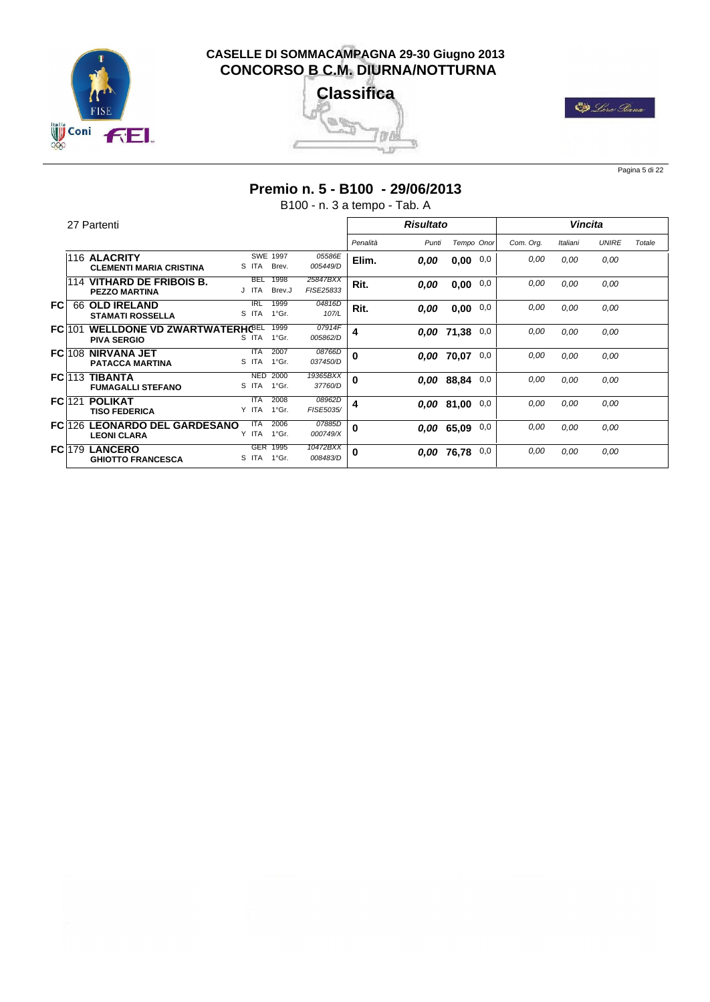





Pagina 5 di 22

#### **Premio n. 5 - B100 - 29/06/2013**

B100 - n. 3 a tempo - Tab. A

|      |               | 27 Partenti                                                   |                           |                         |                       |          | <b>Risultato</b> |            |     |           | <b>Vincita</b> |              |        |
|------|---------------|---------------------------------------------------------------|---------------------------|-------------------------|-----------------------|----------|------------------|------------|-----|-----------|----------------|--------------|--------|
|      |               |                                                               |                           |                         |                       | Penalità | Punti            | Tempo Onor |     | Com. Org. | Italiani       | <b>UNIRE</b> | Totale |
|      |               | 116 ALACRITY<br><b>CLEMENTI MARIA CRISTINA</b>                | S ITA                     | SWE 1997<br>Brev.       | 05586E<br>005449/D    | Elim.    | 0.00             | 0,00       | 0,0 | 0,00      | 0.00           | 0,00         |        |
|      |               | 114 VITHARD DE FRIBOIS B.<br><b>PEZZO MARTINA</b>             | <b>BEL</b><br>J ITA       | 1998<br>Brev.J          | 25847BXX<br>FISE25833 | Rit.     | 0.00             | 0,00       | 0,0 | 0,00      | 0,00           | 0,00         |        |
| FC.  | 66            | <b>OLD IRELAND</b><br><b>STAMATI ROSSELLA</b>                 | <b>IRL</b><br>S ITA       | 1999<br>$1^{\circ}$ Gr. | 04816D<br>107/L       | Rit.     | 0.00             | 0,00       | 0,0 | 0.00      | 0,00           | 0,00         |        |
|      | <b>FC</b> 101 | WELLDONE VD ZWARTWATERHC <sup>BEL</sup><br><b>PIVA SERGIO</b> | S ITA                     | 1999<br>$1^{\circ}$ Gr. | 07914F<br>005862/D    | 4        |                  | 0.00 71,38 | 0,0 | 0,00      | 0,00           | 0,00         |        |
|      | <b>FC</b> 108 | <b>NIRVANA JET</b><br><b>PATACCA MARTINA</b>                  | <b>ITA</b><br>S ITA       | 2007<br>1°Gr.           | 08766D<br>037450/D    | 0        |                  | 0.00 70.07 | 0,0 | 0.00      | 0.00           | 0,00         |        |
|      | <b>FC</b> 113 | TIBANTA<br><b>FUMAGALLI STEFANO</b>                           | <b>NED</b><br>S ITA       | 2000<br>1°Gr.           | 19365BXX<br>37760/D   | 0        |                  | 0.00 88.84 | 0,0 | 0,00      | 0,00           | 0,00         |        |
|      | $FC$ 121      | <b>POLIKAT</b><br><b>TISO FEDERICA</b>                        | <b>ITA</b><br>Y ITA       | 2008<br>1°Gr.           | 08962D<br>FISE5035/   | 4        |                  | 0,00 81,00 | 0,0 | 0,00      | 0.00           | 0,00         |        |
|      |               | <b>FC1126 LEONARDO DEL GARDESANO</b><br><b>LEONI CLARA</b>    | <b>ITA</b><br>Y ITA 1°Gr. | 2006                    | 07885D<br>000749/X    | 0        |                  | 0.00 65.09 | 0,0 | 0,00      | 0,00           | 0,00         |        |
| FC 1 | 79            | <b>LANCERO</b><br><b>GHIOTTO FRANCESCA</b>                    | S ITA 1°Gr.               | GER 1995                | 10472BXX<br>008483/D  | $\bf{0}$ |                  | 0.00 76.78 | 0,0 | 0,00      | 0.00           | 0,00         |        |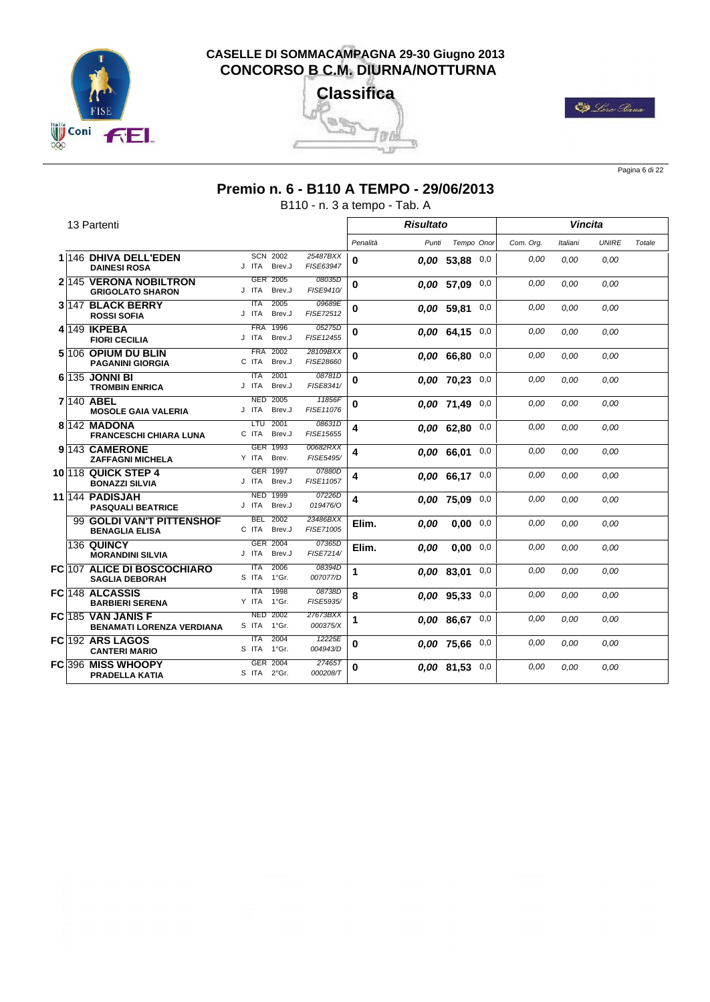





Pagina 6 di 22

#### **Premio n. 6 - B110 A TEMPO - 29/06/2013**

B110 - n. 3 a tempo - Tab. A

|  | 13 Partenti                                            |                                       |                       |          | <b>Risultato</b> |                    |     |           | Vincita  |              |        |
|--|--------------------------------------------------------|---------------------------------------|-----------------------|----------|------------------|--------------------|-----|-----------|----------|--------------|--------|
|  |                                                        |                                       |                       | Penalità | Punti            | Tempo Onor         |     | Com. Org. | Italiani | <b>UNIRE</b> | Totale |
|  | 1 146 DHIVA DELL'EDEN<br><b>DAINESI ROSA</b>           | <b>SCN 2002</b><br>J ITA<br>Brev.J    | 25487BXX<br>FISE63947 | 0        |                  | $0.00$ 53.88 0,0   |     | 0,00      | 0.00     | 0,00         |        |
|  | 2 145 VERONA NOBILTRON<br><b>GRIGOLATO SHARON</b>      | 2005<br><b>GER</b><br>Brev.J<br>J ITA | 08035D<br>FISE9410/   | 0        |                  | 0,00 57,09 0,0     |     | 0,00      | 0.00     | 0.00         |        |
|  | 3 147 BLACK BERRY<br><b>ROSSI SOFIA</b>                | 2005<br><b>ITA</b><br>J ITA<br>Brev.J | 09689E<br>FISE72512   | 0        |                  | 0.00 59.81         | 0,0 | 0.00      | 0.00     | 0.00         |        |
|  | 4 149 IKPEBA<br><b>FIORI CECILIA</b>                   | <b>FRA</b><br>1996<br>J ITA<br>Brev.J | 05275D<br>FISE12455   | $\bf{0}$ |                  | $0.00$ 64.15 0,0   |     | 0.00      | 0.00     | 0.00         |        |
|  | 5 106 OPIUM DU BLIN<br><b>PAGANINI GIORGIA</b>         | 2002<br><b>FRA</b><br>C ITA<br>Brev.J | 28109BXX<br>FISE28660 | $\bf{0}$ |                  | $0,00$ 66,80 0,0   |     | 0.00      | 0.00     | 0.00         |        |
|  | 6 135 JONNI BI<br><b>TROMBIN ENRICA</b>                | 2001<br><b>ITA</b><br>J ITA<br>Brev.J | 08781D<br>FISE8341/   | 0        |                  | $0.00$ 70.23 0,0   |     | 0.00      | 0.00     | 0.00         |        |
|  | 7 140 ABEL<br><b>MOSOLE GAIA VALERIA</b>               | 2005<br><b>NED</b><br>J ITA<br>Brev.J | 11856F<br>FISE11076   | 0        |                  | $0.00$ 71.49 $0.0$ |     | 0,00      | 0.00     | 0.00         |        |
|  | 8 142 MADONA<br><b>FRANCESCHI CHIARA LUNA</b>          | 2001<br>LTU<br>C ITA<br>Brev.J        | 08631D<br>FISE15655   | 4        |                  | $0.00$ 62.80 0,0   |     | 0.00      | 0.00     | 0.00         |        |
|  | 9 143 CAMERONE<br><b>ZAFFAGNI MICHELA</b>              | GER 1993<br>Y ITA<br>Brev.            | 00682RXX<br>FISE5495/ | 4        |                  | $0,00$ 66,01 0,0   |     | 0.00      | 0.00     | 0.00         |        |
|  | <b>10 118 QUICK STEP 4</b><br><b>BONAZZI SILVIA</b>    | GER 1997<br>J ITA<br>Brev.J           | 07880D<br>FISE11057   | 4        |                  | $0,00$ 66,17 0,0   |     | 0.00      | 0.00     | 0.00         |        |
|  | 11 144 PADISJAH<br><b>PASQUALI BEATRICE</b>            | 1999<br><b>NED</b><br>J ITA<br>Brev.J | 07226D<br>019476/0    | 4        |                  | 0.00 75.09         | 0,0 | 0,00      | 0.00     | 0.00         |        |
|  | 99 GOLDI VAN'T PITTENSHOF<br><b>BENAGLIA ELISA</b>     | <b>BEL</b><br>2002<br>C ITA<br>Brev.J | 23486BXX<br>FISE71005 | Elim.    | 0.00             | 0.00               | 0,0 | 0,00      | 0.00     | 0.00         |        |
|  | <b>136 QUINCY</b><br><b>MORANDINI SILVIA</b>           | GER 2004<br>Brev.J<br>J ITA           | 07365D<br>FISE7214/   | Elim.    | 0.00             | 0.00               | 0,0 | 0,00      | 0.00     | 0,00         |        |
|  | FC 107 ALICE DI BOSCOCHIARO<br><b>SAGLIA DEBORAH</b>   | <b>ITA</b><br>2006<br>S ITA<br>1°Gr.  | 08394D<br>007077/D    | 1        |                  | 0.00 83.01         | 0,0 | 0.00      | 0.00     | 0.00         |        |
|  | FC 148 ALCASSIS<br><b>BARBIERI SERENA</b>              | 1998<br><b>ITA</b><br>1°Gr.<br>Y ITA  | 08738D<br>FISE5935/   | 8        |                  | $0.00$ 95.33 $0.0$ |     | 0.00      | 0.00     | 0.00         |        |
|  | FC 185 VAN JANIS F<br><b>BENAMATI LORENZA VERDIANA</b> | <b>NED 2002</b><br>S ITA<br>1°Gr.     | 27673BXX<br>000375/X  | 1        |                  | $0.00$ 86.67 0,0   |     | 0.00      | 0.00     | 0.00         |        |
|  | FC 192 ARS LAGOS<br><b>CANTERI MARIO</b>               | <b>ITA</b><br>2004<br>S ITA<br>1°Gr.  | 12225E<br>004943/D    | 0        |                  | $0.00$ 75,66 0,0   |     | 0,00      | 0.00     | 0.00         |        |
|  | FC 396 MISS WHOOPY<br><b>PRADELLA KATIA</b>            | <b>GER</b><br>2004<br>S ITA 2°Gr.     | 274657<br>000208/T    | 0        |                  | $0.00$ 81.53 0.0   |     | 0.00      | 0.00     | 0,00         |        |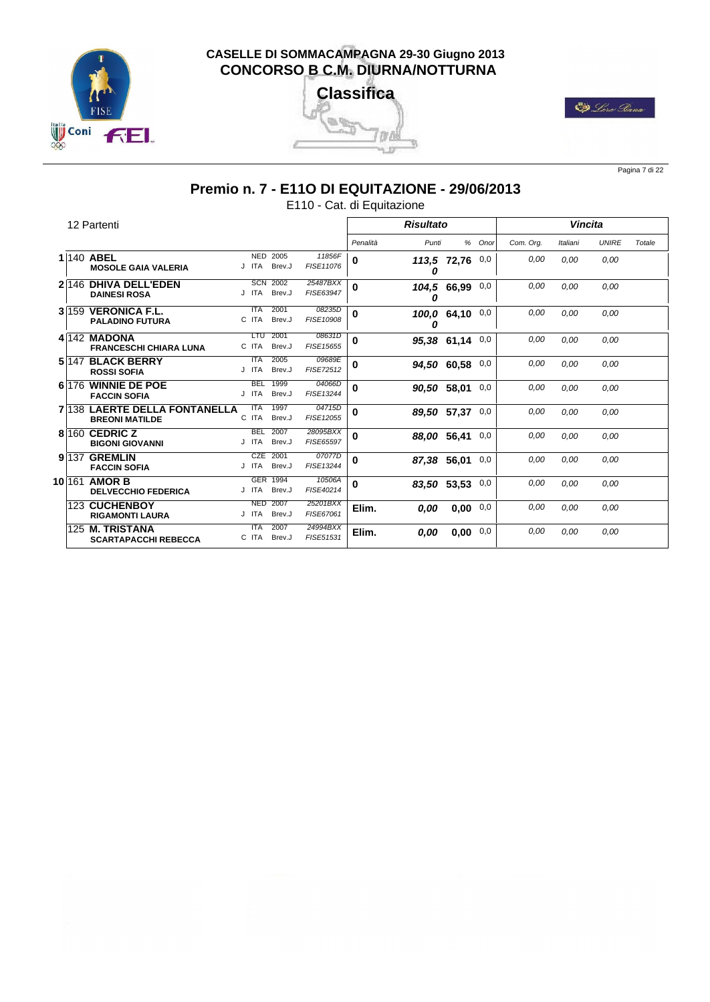





Pagina 7 di 22

# **Premio n. 7 - E11O DI EQUITAZIONE - 29/06/2013**

E110 - Cat. di Equitazione

|  | 12 Partenti                                            |       |            |                |                            |          | <b>Risultato</b> |             |        |           |          | Vincita      |        |
|--|--------------------------------------------------------|-------|------------|----------------|----------------------------|----------|------------------|-------------|--------|-----------|----------|--------------|--------|
|  |                                                        |       |            |                |                            | Penalità | Punti            |             | % Onor | Com. Org. | Italiani | <b>UNIRE</b> | Totale |
|  | 1 140 ABEL<br><b>MOSOLE GAIA VALERIA</b>               | J ITA | NED 2005   | Brev.J         | 11856F<br>FISE11076        | 0        | 0                | 113,5 72,76 | 0,0    | 0,00      | 0.00     | 0.00         |        |
|  | 2 146 DHIVA DELL'EDEN<br><b>DAINESI ROSA</b>           | J ITA | <b>SCN</b> | 2002<br>Brev.J | 25487BXX<br>FISE63947      | 0        | 104,5<br>0       | 66.99       | 0,0    | 0,00      | 0.00     | 0.00         |        |
|  | 3 159 VERONICA F.L.<br><b>PALADINO FUTURA</b>          | C ITA | <b>ITA</b> | 2001<br>Brev.J | 08235D<br>FISE10908        | 0        | 0                | 100,0 64,10 | 0,0    | 0,00      | 0.00     | 0.00         |        |
|  | 4 142 MADONA<br><b>FRANCESCHI CHIARA LUNA</b>          | C ITA | <b>LTU</b> | 2001<br>Brev.J | 08631D<br>FISE15655        | 0        |                  | 95.38 61.14 | 0,0    | 0,00      | 0.00     | 0.00         |        |
|  | 5 147 BLACK BERRY<br><b>ROSSI SOFIA</b>                | J ITA | <b>ITA</b> | 2005<br>Brev.J | 09689E<br><b>FISE72512</b> | 0        |                  | 94,50 60,58 | 0,0    | 0,00      | 0.00     | 0.00         |        |
|  | 6 176 WINNIE DE POE<br><b>FACCIN SOFIA</b>             | J ITA | <b>BEL</b> | 1999<br>Brev.J | 04066D<br>FISE13244        | 0        | 90,50 58,01      |             | 0,0    | 0,00      | 0.00     | 0.00         |        |
|  | 7/138 LAERTE DELLA FONTANELLA<br><b>BREONI MATILDE</b> | C ITA | <b>ITA</b> | 1997<br>Brev.J | 04715D<br>FISE12055        | 0        | 89,50 57,37      |             | 0,0    | 0,00      | 0.00     | 0.00         |        |
|  | 8 160 CEDRIC Z<br><b>BIGONI GIOVANNI</b>               | J ITA | <b>BEL</b> | 2007<br>Brev.J | 28095BXX<br>FISE65597      | 0        | 88,00 56,41      |             | 0,0    | 0,00      | 0.00     | 0.00         |        |
|  | 9 137 GREMLIN<br><b>FACCIN SOFIA</b>                   | J ITA | <b>CZE</b> | 2001<br>Brev.J | 07077D<br>FISE13244        | 0        | 87,38 56,01      |             | 0,0    | 0,00      | 0.00     | 0.00         |        |
|  | 10 161 AMOR B<br><b>DELVECCHIO FEDERICA</b>            | J ITA | GER 1994   | Brev.J         | 10506A<br>FISE40214        | 0        | 83.50 53.53      |             | 0,0    | 0,00      | 0,00     | 0.00         |        |
|  | 123 CUCHENBOY<br><b>RIGAMONTI LAURA</b>                | J ITA | <b>NED</b> | 2007<br>Brev.J | 25201BXX<br>FISE67061      | Elim.    | 0,00             | 0,00        | 0,0    | 0,00      | 0.00     | 0.00         |        |
|  | 125 M. TRISTANA<br><b>SCARTAPACCHI REBECCA</b>         | C ITA | <b>ITA</b> | 2007<br>Brev.J | 24994BXX<br>FISE51531      | Elim.    | 0,00             | 0,00        | 0,0    | 0,00      | 0.00     | 0.00         |        |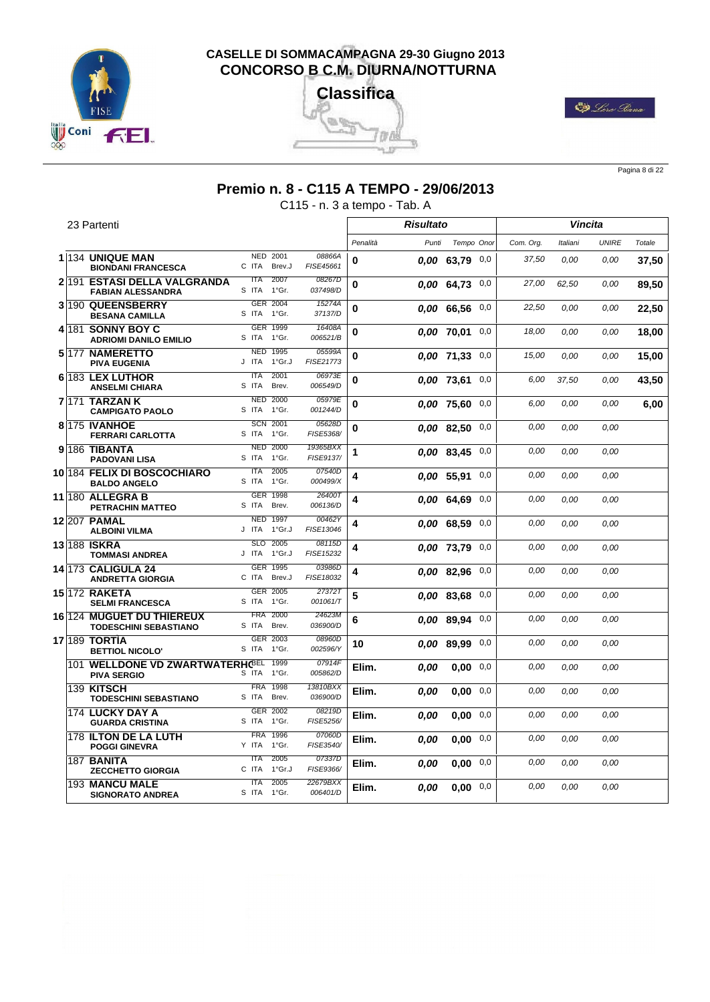





Pagina 8 di 22

#### **Premio n. 8 - C115 A TEMPO - 29/06/2013**

C115 - n. 3 a tempo - Tab. A

|      | 23 Partenti                                                            |                                       |                       |          | <b>Risultato</b> |                  |     |           |          | Vincita      |        |
|------|------------------------------------------------------------------------|---------------------------------------|-----------------------|----------|------------------|------------------|-----|-----------|----------|--------------|--------|
|      |                                                                        |                                       |                       | Penalità | Punti            | Tempo Onor       |     | Com. Org. | Italiani | <b>UNIRE</b> | Totale |
|      | 1 134 UNIQUE MAN<br><b>BIONDANI FRANCESCA</b>                          | NED 2001<br>C ITA<br>Brev.J           | 08866A<br>FISE45661   | 0        |                  | $0.00$ 63,79 0,0 |     | 37,50     | 0,00     | 0,00         | 37,50  |
|      | 2 191 ESTASI DELLA VALGRANDA<br><b>FABIAN ALESSANDRA</b>               | 2007<br><b>ITA</b><br>S ITA<br>1°Gr.  | 08267D<br>037498/D    | 0        |                  | 0.00 64.73       | 0,0 | 27,00     | 62.50    | 0,00         | 89,50  |
|      | 3 190 QUEENSBERRY<br><b>BESANA CAMILLA</b>                             | <b>GER 2004</b><br>S ITA<br>1°Gr.     | 15274A<br>37137/D     | $\bf{0}$ |                  | 0.00 66.56       | 0,0 | 22,50     | 0.00     | 0.00         | 22,50  |
|      | 4 181 SONNY BOY C<br><b>ADRIOMI DANILO EMILIO</b>                      | GER 1999<br>1°Gr.<br>S ITA            | 16408A<br>006521/B    | 0        |                  | 0,00 70,01       | 0,0 | 18,00     | 0.00     | 0.00         | 18,00  |
|      | 5 177 NAMERETTO<br><b>PIVA EUGENIA</b>                                 | <b>NED 1995</b><br>J ITA<br>1°Gr.J    | 05599A<br>FISE21773   | 0        |                  | 0.00 71.33       | 0,0 | 15,00     | 0.00     | 0.00         | 15.00  |
|      | 6 183 LEX LUTHOR<br><b>ANSELMI CHIARA</b>                              | <b>ITA</b><br>2001<br>S ITA<br>Brev.  | 06973E<br>006549/D    | 0        |                  | 0.00 73.61       | 0,0 | 6,00      | 37,50    | 0,00         | 43,50  |
| 7171 | <b>TARZANK</b><br><b>CAMPIGATO PAOLO</b>                               | <b>NED 2000</b><br>S ITA<br>1°Gr.     | 05979E<br>001244/D    | 0        |                  | 0.00 75.60       | 0,0 | 6,00      | 0,00     | 0,00         | 6,00   |
|      | 8 175 IVANHOE<br><b>FERRARI CARLOTTA</b>                               | <b>SCN 2001</b><br>S ITA<br>1°Gr.     | 05628D<br>FISE5368/   | 0        |                  | 0.00 82.50       | 0,0 | 0,00      | 0,00     | 0,00         |        |
|      | 9 <sup>186</sup> TIBANTA<br><b>PADOVANI LISA</b>                       | <b>NED 2000</b><br>S ITA<br>1°Gr.     | 19365BXX<br>FISE9137/ | 1        |                  | 0.00 83.45       | 0,0 | 0,00      | 0.00     | 0,00         |        |
|      | 10 184 FELIX DI BOSCOCHIARO<br><b>BALDO ANGELO</b>                     | 2005<br><b>ITA</b><br>1°Gr.<br>S ITA  | 07540D<br>000499/X    | 4        |                  | 0.00 55,91       | 0,0 | 0,00      | 0,00     | 0,00         |        |
|      | 11 180 ALLEGRA B<br><b>PETRACHIN MATTEO</b>                            | <b>GER 1998</b><br>S ITA Brev.        | 26400T<br>006136/D    | 4        |                  | 0.00 64.69       | 0,0 | 0,00      | 0,00     | 0,00         |        |
|      | 12 207 PAMAL<br><b>ALBOINI VILMA</b>                                   | <b>NED 1997</b><br>1°Gr.J<br>J ITA    | 00462Y<br>FISE13046   | 4        |                  | 0.00 68.59       | 0,0 | 0.00      | 0,00     | 0,00         |        |
|      | 13 188 ISKRA<br><b>TOMMASI ANDREA</b>                                  | SLO 2005<br>J ITA 1°Gr.J              | 08115D<br>FISE15232   | 4        |                  | 0,00 73,79       | 0,0 | 0.00      | 0.00     | 0.00         |        |
|      | 14 173 CALIGULA 24<br><b>ANDRETTA GIORGIA</b>                          | GER 1995<br>C ITA<br>Brev.J           | 03986D<br>FISE18032   | 4        |                  | 0,00 82,96       | 0,0 | 0.00      | 0.00     | 0.00         |        |
|      | 15 172 RAKETA<br><b>SELMI FRANCESCA</b>                                | GER 2005<br>S ITA<br>1°Gr.            | 27372T<br>001061/T    | 5        |                  | 0.00 83,68       | 0,0 | 0,00      | 0.00     | 0.00         |        |
|      | <b>16 124 MUGUET DU THIEREUX</b><br><b>TODESCHINI SEBASTIANO</b>       | <b>FRA 2000</b><br>S ITA<br>Brev.     | 24623M<br>036900/D    | 6        |                  | 0.00 89.94       | 0,0 | 0.00      | 0.00     | 0,00         |        |
|      | 17 189 TORTIA<br><b>BETTIOL NICOLO'</b>                                | GER 2003<br>S ITA<br>1°Gr.            | 08960D<br>002596/Y    | 10       |                  | 0.00 89.99       | 0,0 | 0.00      | 0.00     | 0.00         |        |
|      | 101 WELLDONE VD ZWARTWATERHC <sup>BEL 1999</sup><br><b>PIVA SERGIO</b> | 1°Gr.<br>S ITA                        | 07914F<br>005862/D    | Elim.    | 0.00             | 0.00             | 0,0 | 0.00      | 0.00     | 0,00         |        |
|      | 139 KITSCH<br><b>TODESCHINI SEBASTIANO</b>                             | <b>FRA 1998</b><br>S ITA Brev.        | 13810BXX<br>036900/D  | Elim.    | 0.00             | 0.00             | 0,0 | 0.00      | 0,00     | 0,00         |        |
|      | 174 LUCKY DAY A<br><b>GUARDA CRISTINA</b>                              | GER 2002<br>S ITA 1°Gr.               | 08219D<br>FISE5256/   | Elim.    | 0.00             | 0.00             | 0,0 | 0,00      | 0,00     | 0,00         |        |
|      | 178 ILTON DE LA LUTH<br><b>POGGI GINEVRA</b>                           | FRA 1996<br>Y ITA 1°Gr.               | 07060D<br>FISE3540/   | Elim.    | 0.00             | 0.00             | 0,0 | 0,00      | 0,00     | 0,00         |        |
|      | 187 BANITA<br><b>ZECCHETTO GIORGIA</b>                                 | 2005<br><b>ITA</b><br>C ITA<br>1°Gr.J | 07337D<br>FISE9366/   | Elim.    | 0.00             | 0.00             | 0,0 | 0,00      | 0,00     | 0,00         |        |
|      | 193 MANCU MALE<br><b>SIGNORATO ANDREA</b>                              | 2005<br>ITA<br>S ITA 1°Gr.            | 22679BXX<br>006401/D  | Elim.    | 0.00             | 0,00             | 0,0 | 0.00      | 0,00     | 0,00         |        |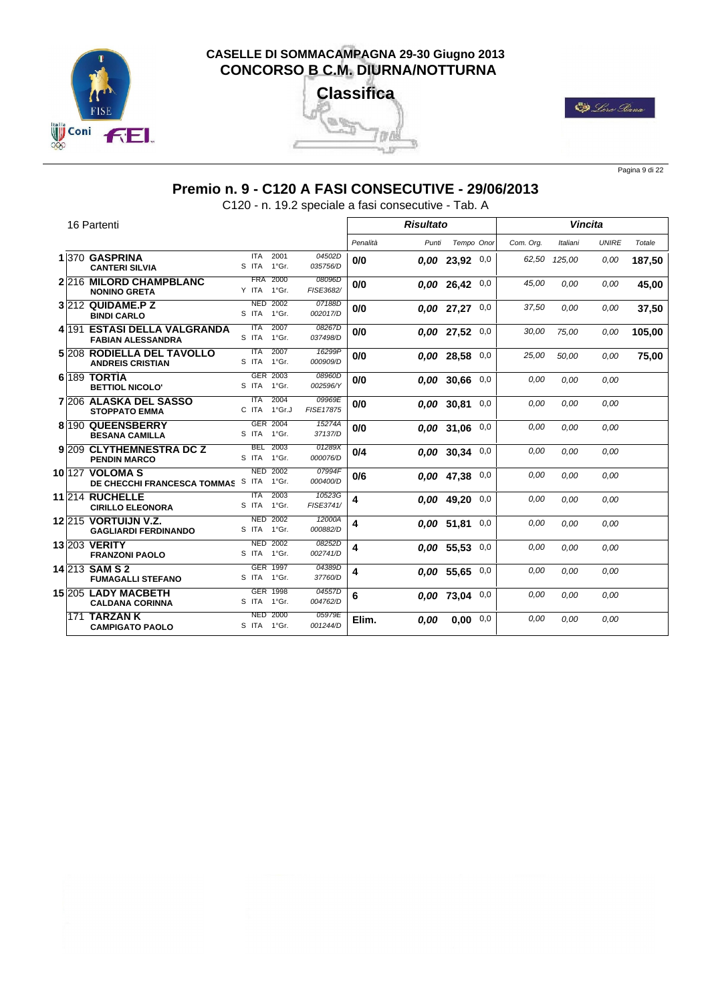





Pagina 9 di 22

# **Premio n. 9 - C120 A FASI CONSECUTIVE - 29/06/2013**

C120 - n. 19.2 speciale a fasi consecutive - Tab. A

|     | 16 Partenti                                              |                                       |                            |          | <b>Risultato</b> |                    |     |           |          | <b>Vincita</b> |        |
|-----|----------------------------------------------------------|---------------------------------------|----------------------------|----------|------------------|--------------------|-----|-----------|----------|----------------|--------|
|     |                                                          |                                       |                            | Penalità | Punti            | Tempo Onor         |     | Com. Org. | Italiani | <b>UNIRE</b>   | Totale |
|     | 1 370 GASPRINA<br><b>CANTERI SILVIA</b>                  | <b>ITA</b><br>2001<br>S ITA 1°Gr.     | 04502D<br>035756/D         | 0/0      |                  | $0.00$ 23,92 $0.0$ |     | 62,50     | 125.00   | 0,00           | 187,50 |
|     | 2 216 MILORD CHAMPBLANC<br><b>NONINO GRETA</b>           | 2000<br><b>FRA</b><br>Y ITA 1°Gr.     | 08096D<br>FISE3682/        | 0/0      |                  | 0,00 26,42         | 0,0 | 45,00     | 0.00     | 0.00           | 45,00  |
|     | 3 212 QUIDAME.P Z<br><b>BINDI CARLO</b>                  | <b>NED 2002</b><br>S ITA 1°Gr.        | 07188D<br>002017/D         | 0/0      |                  | $0.00$ 27.27 $0.0$ |     | 37,50     | 0.00     | 0,00           | 37,50  |
|     | 4 191 ESTASI DELLA VALGRANDA<br><b>FABIAN ALESSANDRA</b> | 2007<br><b>ITA</b><br>1°Gr.<br>S ITA  | 08267D<br>037498/D         | 0/0      |                  | 0.00 27,52         | 0,0 | 30,00     | 75.00    | 0,00           | 105,00 |
|     | 5 208 RODIELLA DEL TAVOLLO<br><b>ANDREIS CRISTIAN</b>    | 2007<br><b>ITA</b><br>S ITA 1°Gr.     | 16299P<br>000909/D         | 0/0      |                  | 0.00 28,58         | 0,0 | 25,00     | 50,00    | 0,00           | 75,00  |
|     | 6 189 TORTIA<br><b>BETTIOL NICOLO'</b>                   | GER 2003<br>S ITA 1°Gr.               | 08960D<br>002596/Y         | 0/0      |                  | 0,00 30,66         | 0,0 | 0,00      | 0.00     | 0.00           |        |
|     | <b>7206 ALASKA DEL SASSO</b><br><b>STOPPATO EMMA</b>     | 2004<br><b>ITA</b><br>C ITA<br>1°Gr.J | 09969E<br><b>FISE17875</b> | 0/0      |                  | 0.00 30.81         | 0,0 | 0,00      | 0.00     | 0.00           |        |
|     | 8 190 QUEENSBERRY<br><b>BESANA CAMILLA</b>               | GER 2004<br>S ITA 1°Gr.               | 15274A<br>37137/D          | 0/0      |                  | $0,00$ 31,06 0,0   |     | 0,00      | 0.00     | 0,00           |        |
|     | 9 209 CLYTHEMNESTRA DC Z<br><b>PENDIN MARCO</b>          | 2003<br><b>BEL</b><br>S ITA 1°Gr.     | 01289X<br>000076/D         | 0/4      |                  | $0.00$ 30.34 $0.0$ |     | 0,00      | 0.00     | 0,00           |        |
|     | 10 127 VOLOMA S<br>DE CHECCHI FRANCESCA TOMMAS           | <b>NED 2002</b><br>S ITA 1°Gr.        | 07994F<br>000400/D         | 0/6      |                  | 0.00 47,38         | 0,0 | 0,00      | 0.00     | 0,00           |        |
|     | <b>11214 RUCHELLE</b><br><b>CIRILLO ELEONORA</b>         | 2003<br><b>ITA</b><br>S ITA 1°Gr.     | 10523G<br>FISE3741/        | 4        |                  | 0.00 49.20         | 0,0 | 0,00      | 0.00     | 0,00           |        |
|     | 12 215 VORTUIJN V.Z.<br><b>GAGLIARDI FERDINANDO</b>      | <b>NED 2002</b><br>S ITA 1°Gr.        | 12000A<br>000882/D         | 4        |                  | 0,00 51,81         | 0,0 | 0,00      | 0.00     | 0.00           |        |
|     | <b>13 203 VERITY</b><br><b>FRANZONI PAOLO</b>            | <b>NED 2002</b><br>S ITA 1°Gr.        | 08252D<br>002741/D         | 4        |                  | 0.00 55.53         | 0,0 | 0,00      | 0.00     | 0.00           |        |
|     | 14 213 SAM S 2<br><b>FUMAGALLI STEFANO</b>               | <b>GER 1997</b><br>S ITA 1°Gr.        | 04389D<br>37760/D          | 4        |                  | 0.00 55.65         | 0,0 | 0,00      | 0.00     | 0,00           |        |
|     | 15 205 LADY MACBETH<br><b>CALDANA CORINNA</b>            | GER 1998<br>S ITA<br>1°Gr.            | 04557D<br>004762/D         | 6        |                  | 0,00 73,04         | 0,0 | 0,00      | 0.00     | 0.00           |        |
| 171 | <b>TARZANK</b><br><b>CAMPIGATO PAOLO</b>                 | <b>NED 2000</b><br>S ITA 1°Gr.        | 05979E<br>001244/D         | Elim.    | 0,00             | $0.00 \quad 0.0$   |     | 0,00      | 0,00     | 0,00           |        |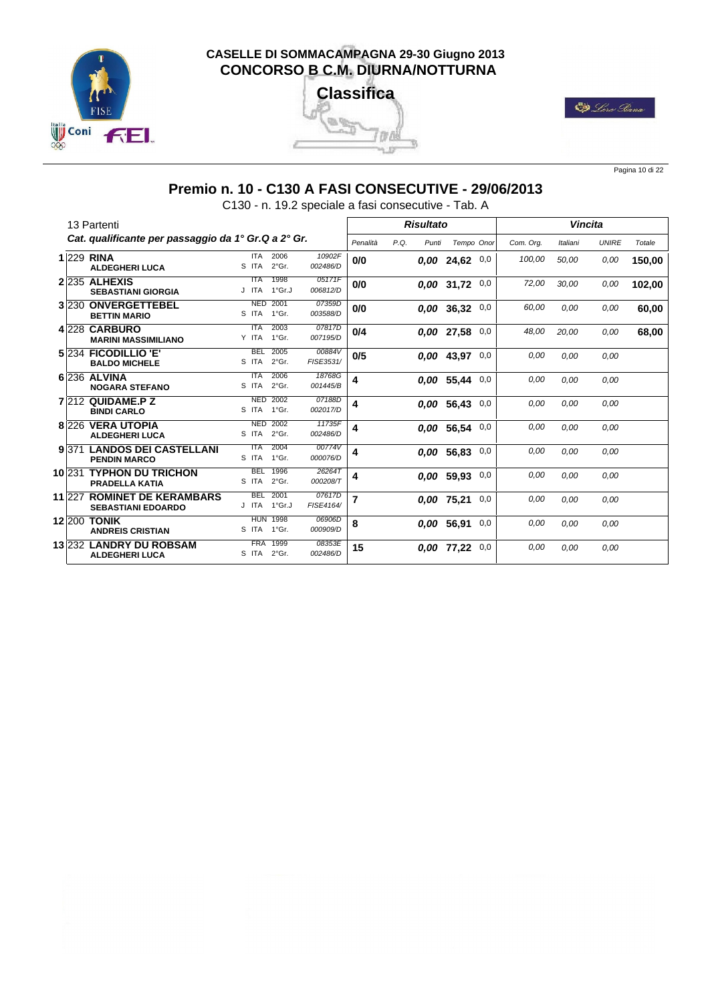

# **Classifica** 23 Tara 电启



Pagina 10 di 22

# **Premio n. 10 - C130 A FASI CONSECUTIVE - 29/06/2013**

C130 - n. 19.2 speciale a fasi consecutive - Tab. A

|         | 13 Partenti                                              |                     |                          |                     |                |      | <b>Risultato</b> |                  |     |           |          | <b>Vincita</b> |        |
|---------|----------------------------------------------------------|---------------------|--------------------------|---------------------|----------------|------|------------------|------------------|-----|-----------|----------|----------------|--------|
|         | Cat. qualificante per passaggio da 1° Gr.Q a 2° Gr.      |                     |                          |                     | Penalità       | P.Q. | Punti            | Tempo Onor       |     | Com. Org. | Italiani | <b>UNIRE</b>   | Totale |
|         | <b>1229 RINA</b><br><b>ALDEGHERI LUCA</b>                | <b>ITA</b><br>S ITA | 2006<br>$2°$ Gr.         | 10902F<br>002486/D  | 0/0            |      |                  | $0,00$ 24,62 0,0 |     | 100,00    | 50,00    | 0.00           | 150,00 |
|         | $2 235$ ALHEXIS<br><b>SEBASTIANI GIORGIA</b>             | ITA<br>J ITA        | 1998<br>1°Gr.J           | 05171F<br>006812/D  | 0/0            |      |                  | 0.00 31,72       | 0,0 | 72,00     | 30,00    | 0,00           | 102,00 |
|         | 3 230 ONVERGETTEBEL<br><b>BETTIN MARIO</b>               | <b>NED</b><br>S ITA | 2001<br>1°Gr.            | 07359D<br>003588/D  | 0/0            |      |                  | 0.00 36,32       | 0,0 | 60,00     | 0,00     | 0.00           | 60,00  |
|         | 4 228 CARBURO<br><b>MARINI MASSIMILIANO</b>              | <b>ITA</b><br>Y ITA | 2003<br>1°Gr.            | 07817D<br>007195/D  | 0/4            |      |                  | 0,00 27,58       | 0,0 | 48,00     | 20,00    | 0,00           | 68,00  |
|         | 5 234 FICODILLIO 'E'<br><b>BALDO MICHELE</b>             | <b>BEL</b><br>S ITA | 2005<br>$2°$ Gr.         | 00884V<br>FISE3531/ | 0/5            |      |                  | 0.00 43,97       | 0,0 | 0,00      | 0.00     | 0.00           |        |
|         | 6 236 ALVINA<br><b>NOGARA STEFANO</b>                    | <b>ITA</b><br>S ITA | 2006<br>$2°$ Gr.         | 18768G<br>001445/B  | 4              |      |                  | 0.00 55,44       | 0,0 | 0,00      | 0.00     | 0.00           |        |
|         | 7 212 QUIDAME.P Z<br><b>BINDI CARLO</b>                  | <b>NED</b><br>S ITA | 2002<br>$1^{\circ}$ Gr.  | 07188D<br>002017/D  | 4              |      |                  | 0.00 56.43       | 0,0 | 0,00      | 0.00     | 0.00           |        |
|         | 8 226 VERA UTOPIA<br><b>ALDEGHERI LUCA</b>               | <b>NED</b><br>S ITA | 2002<br>$2°$ Gr.         | 11735F<br>002486/D  | 4              |      |                  | 0.00 56.54       | 0,0 | 0,00      | 0.00     | 0.00           |        |
| 9 3 7 1 | <b>LANDOS DEI CASTELLANI</b><br><b>PENDIN MARCO</b>      | <b>ITA</b><br>S ITA | 2004<br>1°Gr.            | 00774V<br>000076/D  | 4              |      |                  | 0.00 56.83       | 0,0 | 0,00      | 0.00     | 0.00           |        |
|         | 10 231 TYPHON DU TRICHON<br><b>PRADELLA KATIA</b>        | <b>BEL</b><br>S ITA | 1996<br>2°Gr.            | 26264T<br>000208/T  | 4              |      |                  | 0.00 59.93       | 0,0 | 0,00      | 0.00     | 0.00           |        |
| 11 227  | <b>ROMINET DE KERAMBARS</b><br><b>SEBASTIANI EDOARDO</b> | <b>BEL</b><br>J ITA | 2001<br>1°Gr.J           | 07617D<br>FISE4164/ | $\overline{7}$ |      |                  | 0.00 75.21       | 0,0 | 0,00      | 0.00     | 0.00           |        |
| 12 200  | <b>TONIK</b><br><b>ANDREIS CRISTIAN</b>                  | S ITA               | <b>HUN 1998</b><br>1°Gr. | 06906D<br>000909/D  | 8              |      |                  | 0,00 56,91       | 0,0 | 0,00      | 0.00     | 0.00           |        |
|         | 13 232 LANDRY DU ROBSAM<br><b>ALDEGHERI LUCA</b>         | <b>FRA</b><br>S ITA | 1999<br>$2°$ Gr.         | 08353E<br>002486/D  | 15             |      |                  | 0.00 77,22       | 0,0 | 0,00      | 0.00     | 0,00           |        |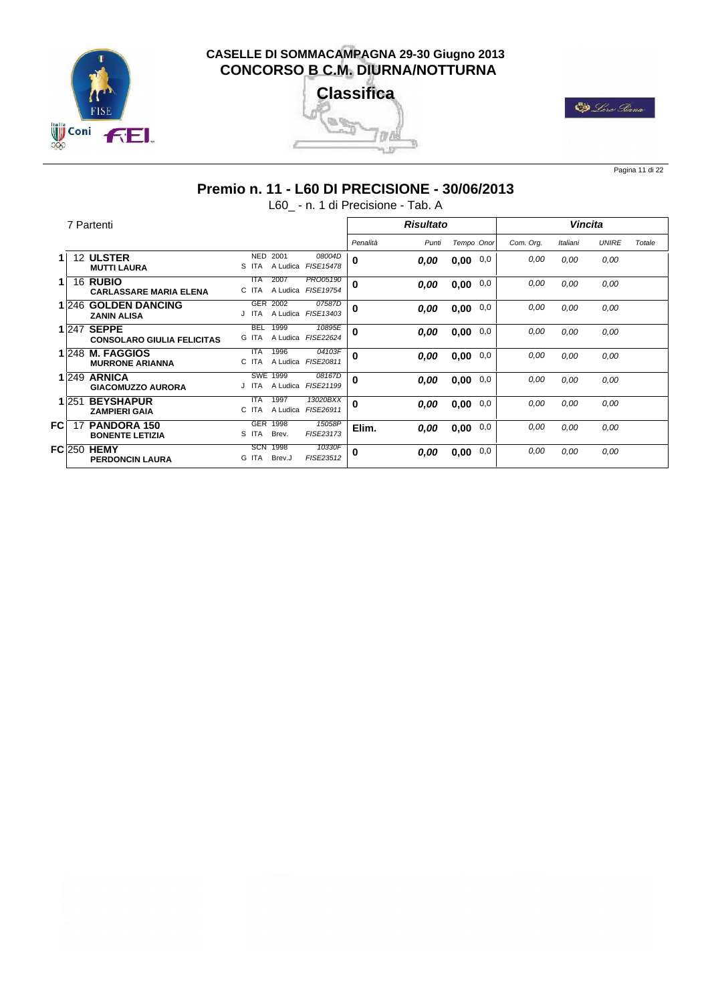





Pagina 11 di 22

# **Premio n. 11 - L60 DI PRECISIONE - 30/06/2013**

L60\_ - n. 1 di Precisione - Tab. A

|          |       | 7 Partenti                                        |                                                   |                                     |          | <b>Risultato</b> |            |     |           | <b>Vincita</b> |              |        |
|----------|-------|---------------------------------------------------|---------------------------------------------------|-------------------------------------|----------|------------------|------------|-----|-----------|----------------|--------------|--------|
|          |       |                                                   |                                                   |                                     | Penalità | Punti            | Tempo Onor |     | Com. Org. | Italiani       | <b>UNIRE</b> | Totale |
|          |       | 12 ULSTER<br><b>MUTTI LAURA</b>                   | <b>NED</b><br>2001<br>S ITA<br>A Ludica           | 08004D<br><b>FISE15478</b>          | $\bf{0}$ | 0.00             | 0,00       | 0,0 | 0,00      | 0,00           | 0,00         |        |
|          |       | 16 RUBIO<br><b>CARLASSARE MARIA ELENA</b>         | 2007<br><b>ITA</b><br>A Ludica<br>C ITA           | <b>PRO05190</b><br><b>FISE19754</b> | 0        | 0,00             | 0,00       | 0,0 | 0,00      | 0,00           | 0,00         |        |
|          | 1 246 | <b>GOLDEN DANCING</b><br><b>ZANIN ALISA</b>       | 2002<br><b>GER</b><br>A Ludica FISE13403<br>J ITA | 07587D                              | 0        | 0,00             | 0,00       | 0,0 | 0,00      | 0.00           | 0.00         |        |
|          | 1 247 | <b>SEPPE</b><br><b>CONSOLARO GIULIA FELICITAS</b> | 1999<br><b>BEL</b><br>A Ludica<br>G ITA           | 10895E<br><b>FISE22624</b>          | $\bf{0}$ | 0,00             | 0,00       | 0,0 | 0,00      | 0,00           | 0,00         |        |
|          | 1 248 | <b>M. FAGGIOS</b><br><b>MURRONE ARIANNA</b>       | 1996<br><b>ITA</b><br>C ITA<br>A Ludica FISE20811 | 04103F                              | $\bf{0}$ | 0.00             | 0,00       | 0,0 | 0,00      | 0.00           | 0,00         |        |
|          |       | $1 249$ ARNICA<br><b>GIACOMUZZO AURORA</b>        | <b>SWE 1999</b><br>J ITA<br>A Ludica              | 08167D<br>FISE21199                 | 0        | 0,00             | 0,00       | 0,0 | 0,00      | 0,00           | 0,00         |        |
|          | 1 251 | <b>BEYSHAPUR</b><br><b>ZAMPIERI GAIA</b>          | 1997<br><b>ITA</b><br>A Ludica FISE26911<br>C ITA | 13020BXX                            | $\bf{0}$ | 0,00             | 0,00       | 0,0 | 0,00      | 0.00           | 0,00         |        |
| FC       | 17    | <b>PANDORA 150</b><br><b>BONENTE LETIZIA</b>      | <b>GER</b><br>1998<br>S ITA<br>Brev.              | 15058P<br>FISE23173                 | Elim.    | 0,00             | 0,00       | 0,0 | 0,00      | 0,00           | 0,00         |        |
| $FC$ 250 |       | <b>HEMY</b><br><b>PERDONCIN LAURA</b>             | <b>SCN</b><br>1998<br>G ITA<br>Brev.J             | 10330F<br>FISE23512                 | 0        | 0,00             | 0,00       | 0,0 | 0,00      | 0.00           | 0,00         |        |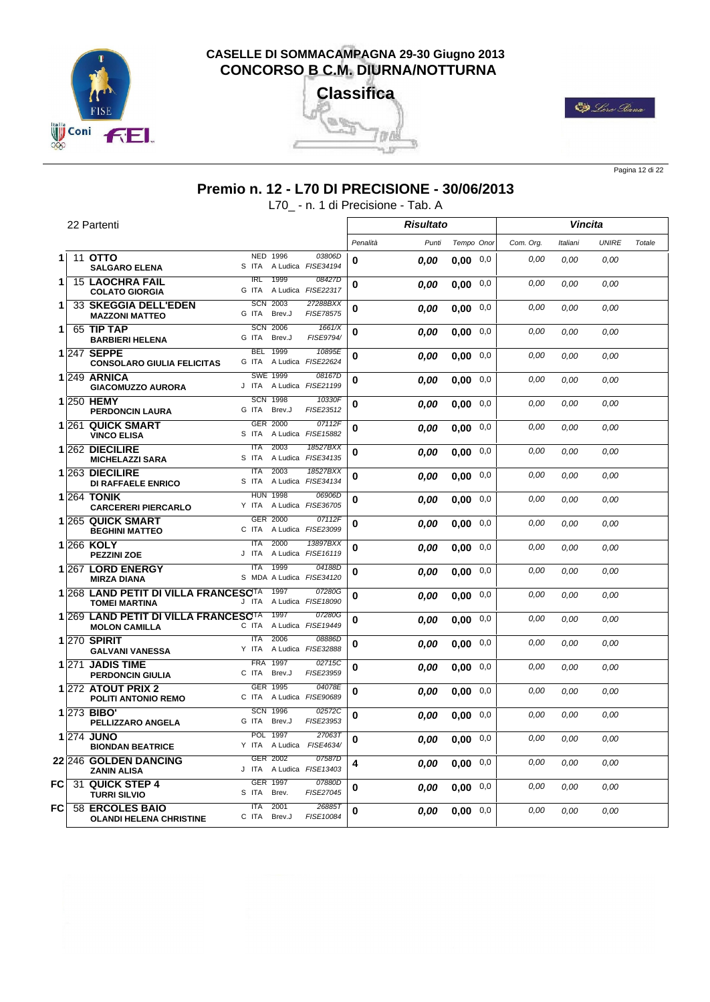





Pagina 12 di 22

# **Premio n. 12 - L70 DI PRECISIONE - 30/06/2013**

L70\_ - n. 1 di Precisione - Tab. A

|    |       | 22 Partenti                                                              |                           |                            |                                    |          | <b>Risultato</b> |                  |     |           | <b>Vincita</b> |              |        |
|----|-------|--------------------------------------------------------------------------|---------------------------|----------------------------|------------------------------------|----------|------------------|------------------|-----|-----------|----------------|--------------|--------|
|    |       |                                                                          |                           |                            |                                    | Penalità | Punti            | Tempo Onor       |     | Com. Org. | Italiani       | <b>UNIRE</b> | Totale |
|    |       | 11 OTTO                                                                  |                           | NED 1996                   | 03806D                             |          |                  |                  |     |           |                |              |        |
| 1  |       | <b>SALGARO ELENA</b>                                                     | S ITA                     |                            | A Ludica FISE34194                 | 0        | 0.00             | $0,00$ 0,0       |     | 0,00      | 0,00           | 0,00         |        |
| 1  |       | <b>15 LAOCHRA FAIL</b><br><b>COLATO GIORGIA</b>                          | $\overline{IRL}$<br>G ITA | 1999                       | 08427D<br>A Ludica FISE22317       | 0        | 0.00             | 0.00             | 0,0 | 0,00      | 0,00           | 0.00         |        |
| 1  |       | 33 SKEGGIA DELL'EDEN<br><b>MAZZONI MATTEO</b>                            | <b>SCN</b><br>G ITA       | 2003<br>Brev.J             | 27288BXX<br><b>FISE78575</b>       | $\bf{0}$ | 0.00             | 0.00             | 0,0 | 0.00      | 0.00           | 0.00         |        |
| 1. |       | 65 TIP TAP<br><b>BARBIERI HELENA</b>                                     | G ITA                     | <b>SCN 2006</b><br>Brev.J  | 1661/X<br>FISE9794/                | $\bf{0}$ | 0.00             | 0,00             | 0,0 | 0,00      | 0.00           | 0.00         |        |
|    |       | 1 247 SEPPE<br><b>CONSOLARO GIULIA FELICITAS</b>                         | G ITA                     | <b>BEL 1999</b>            | 10895E<br>A Ludica FISE22624       | 0        | 0.00             | 0.00             | 0,0 | 0,00      | 0.00           | 0.00         |        |
|    |       | $1\,$ 249 ARNICA<br><b>GIACOMUZZO AURORA</b>                             |                           | <b>SWE 1999</b>            | 08167D<br>J ITA A Ludica FISE21199 | 0        | 0.00             | 0.00             | 0,0 | 0,00      | 0.00           | 0.00         |        |
|    |       | 1 250 HEMY<br><b>PERDONCIN LAURA</b>                                     | <b>SCN</b><br>G ITA       | 1998<br>Brev.J             | 10330F<br>FISE23512                | $\bf{0}$ | 0.00             | 0.00             | 0,0 | 0,00      | 0.00           | 0.00         |        |
|    |       | 1261 QUICK SMART<br><b>VINCO ELISA</b>                                   | S ITA                     | GER 2000                   | 07112F<br>A Ludica FISE15882       | 0        | 0.00             | 0.00             | 0,0 | 0,00      | 0.00           | 0,00         |        |
|    |       | 1 262 DIECILIRE<br><b>MICHELAZZI SARA</b>                                | <b>ITA</b><br>S ITA       | 2003<br>A Ludica           | 18527BXX<br>FISE34135              | 0        | 0.00             | 0.00             | 0,0 | 0,00      | 0,00           | 0,00         |        |
|    |       | 1 263 DIECILIRE<br><b>DI RAFFAELE ENRICO</b>                             | <b>ITA</b><br>S ITA       | 2003                       | 18527BXX<br>A Ludica FISE34134     | 0        | 0.00             | 0.00             | 0,0 | 0,00      | 0,00           | 0,00         |        |
|    |       | <b>1264 TONIK</b><br><b>CARCERERI PIERCARLO</b>                          | <b>HUN</b><br>Y ITA       | 1998                       | 06906D<br>A Ludica FISE36705       | 0        | 0.00             | 0.00             | 0,0 | 0,00      | 0,00           | 0,00         |        |
|    |       | 1 265 QUICK SMART<br><b>BEGHINI MATTEO</b>                               | GER<br>C ITA              | 2000                       | 07112F<br>A Ludica FISE23099       | 0        | 0.00             | 0.00             | 0,0 | 0,00      | 0,00           | 0,00         |        |
|    |       | 1266 KOLY<br><b>PEZZINI ZOE</b>                                          | <b>ITA</b><br>J ITA       | 2000                       | 13897BXX<br>A Ludica FISE16119     | 0        | 0.00             | 0,00             | 0,0 | 0,00      | 0,00           | 0.00         |        |
|    |       | 1267 LORD ENERGY<br><b>MIRZA DIANA</b>                                   | <b>ITA</b>                | 1999                       | 04188D<br>S MDA A Ludica FISE34120 | 0        | 0.00             | 0.00             | 0,0 | 0,00      | 0,00           | 0,00         |        |
|    |       | 1 268 LAND PETIT DI VILLA FRANCESC <sup>TA</sup><br><b>TOMEI MARTINA</b> | J ITA                     | 1997                       | 07280G<br>A Ludica FISE18090       | 0        | 0.00             | 0,00             | 0,0 | 0.00      | 0.00           | 0.00         |        |
|    |       | 1 269 LAND PETIT DI VILLA FRANCESC <sup>TA</sup><br><b>MOLON CAMILLA</b> | C ITA                     | 1997                       | 07280G<br>A Ludica FISE19449       | $\bf{0}$ | 0.00             | 0,00             | 0,0 | 0,00      | 0.00           | 0.00         |        |
|    |       | 1 270 SPIRIT<br><b>GALVANI VANESSA</b>                                   | $\overline{ITA}$<br>Y ITA | 2006                       | 08886D<br>A Ludica FISE32888       | 0        | 0,00             | 0,00             | 0,0 | 0,00      | 0.00           | 0,00         |        |
|    | 1 271 | <b>JADIS TIME</b><br><b>PERDONCIN GIULIA</b>                             | <b>FRA</b><br>C ITA       | 1997<br>Brev.J<br>GER 1995 | 02715C<br>FISE23959                | $\bf{0}$ | 0.00             | 0,00             | 0,0 | 0,00      | 0.00           | 0.00         |        |
|    |       | 1272 ATOUT PRIX 2<br><b>POLITI ANTONIO REMO</b>                          |                           |                            | 04078E<br>C ITA A Ludica FISE90689 | $\bf{0}$ | 0.00             | 0,00             | 0,0 | 0,00      | 0.00           | 0.00         |        |
|    |       | <b>1273 BIBO'</b><br>PELLIZZARO ANGELA                                   | G ITA                     | <b>SCN 1996</b><br>Brev.J  | 02572C<br>FISE23953                | $\bf{0}$ | 0.00             | 0.00             | 0,0 | 0,00      | 0,00           | 0,00         |        |
|    |       | 1274 JUNO<br><b>BIONDAN BEATRICE</b>                                     | <b>POL</b><br>Y ITA       | 1997                       | 270637<br>A Ludica FISE4634/       | 0        | 0.00             | 0.00             | 0,0 | 0,00      | 0,00           | 0,00         |        |
|    |       | 22 246 GOLDEN DANCING<br><b>ZANIN ALISA</b>                              | J ITA                     | GER 2002                   | 07587D<br>A Ludica FISE13403       | 4        | 0.00             | 0.00             | 0,0 | 0,00      | 0.00           | 0,00         |        |
| FC | 31    | <b>QUICK STEP 4</b><br><b>TURRI SILVIO</b>                               | S ITA                     | GER 1997<br>Brev.          | 07880D<br>FISE27045                | 0        | 0.00             | 0.00             | 0,0 | 0,00      | 0,00           | 0,00         |        |
| FC | 58    | <b>ERCOLES BAIO</b><br><b>OLANDI HELENA CHRISTINE</b>                    | <b>ITA</b><br>C ITA       | 2001<br>Brev.J             | 268857<br>FISE10084                | 0        | 0.00             | $0.00 \quad 0.0$ |     | 0,00      | 0,00           | 0,00         |        |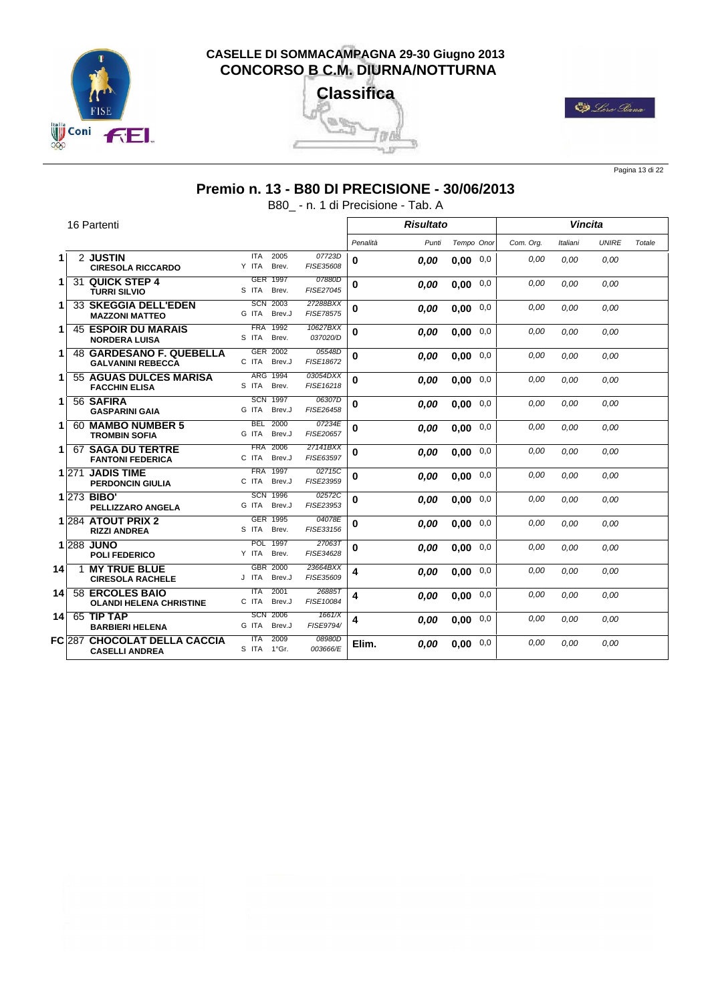





Pagina 13 di 22

# **Premio n. 13 - B80 DI PRECISIONE - 30/06/2013**

B80\_ - n. 1 di Precisione - Tab. A

|     |               | 16 Partenti                                                 |                                       |                       |          | <b>Risultato</b> |                  |     |           |          | <b>Vincita</b> |        |
|-----|---------------|-------------------------------------------------------------|---------------------------------------|-----------------------|----------|------------------|------------------|-----|-----------|----------|----------------|--------|
|     |               |                                                             |                                       |                       | Penalità | Punti            | Tempo Onor       |     | Com. Org. | Italiani | <b>UNIRE</b>   | Totale |
| 1.  |               | 2 JUSTIN<br><b>CIRESOLA RICCARDO</b>                        | <b>ITA</b><br>2005<br>Brev.<br>Y ITA  | 07723D<br>FISE35608   | 0        | 0.00             | $0.00 \quad 0.0$ |     | 0.00      | 0.00     | 0.00           |        |
| 1   |               | 31 QUICK STEP 4<br><b>TURRI SILVIO</b>                      | GER 1997<br>S ITA<br>Brev.            | 07880D<br>FISE27045   | $\bf{0}$ | 0,00             | 0,00             | 0,0 | 0,00      | 0.00     | 0.00           |        |
| 1.  |               | <b>33 SKEGGIA DELL'EDEN</b><br><b>MAZZONI MATTEO</b>        | 2003<br><b>SCN</b><br>G ITA<br>Brev.J | 27288BXX<br>FISE78575 | 0        | 0.00             | 0.00             | 0,0 | 0.00      | 0.00     | 0,00           |        |
| 1   |               | <b>45 ESPOIR DU MARAIS</b><br><b>NORDERA LUISA</b>          | <b>FRA</b><br>1992<br>S ITA<br>Brev.  | 10627BXX<br>037020/D  | $\bf{0}$ | 0,00             | 0,00             | 0,0 | 0,00      | 0.00     | 0.00           |        |
| 1   |               | <b>48 GARDESANO F. QUEBELLA</b><br><b>GALVANINI REBECCA</b> | GER 2002<br>C ITA<br>Brev.J           | 05548D<br>FISE18672   | 0        | 0.00             | 0,00             | 0,0 | 0.00      | 0.00     | 0.00           |        |
| 1   |               | 55 AGUAS DULCES MARISA<br><b>FACCHIN ELISA</b>              | <b>ARG</b><br>1994<br>S ITA<br>Brev.  | 03054DXX<br>FISE16218 | $\bf{0}$ | 0.00             | 0,00             | 0,0 | 0.00      | 0.00     | 0,00           |        |
| 1.  |               | 56 SAFIRA<br><b>GASPARINI GAIA</b>                          | <b>SCN</b><br>1997<br>G ITA<br>Brev.J | 06307D<br>FISE26458   | $\bf{0}$ | 0,00             | 0,00             | 0,0 | 0,00      | 0.00     | 0,00           |        |
| 1   |               | 60 MAMBO NUMBER 5<br><b>TROMBIN SOFIA</b>                   | 2000<br><b>BEL</b><br>G ITA<br>Brev.J | 07234E<br>FISE20657   | 0        | 0.00             | 0.00             | 0,0 | 0.00      | 0.00     | 0,00           |        |
| 1   |               | <b>67 SAGA DU TERTRE</b><br><b>FANTONI FEDERICA</b>         | <b>FRA</b><br>2006<br>C ITA<br>Brev.J | 27141BXX<br>FISE63597 | $\bf{0}$ | 0,00             | 0,00             | 0,0 | 0,00      | 0.00     | 0.00           |        |
|     | 1 271         | <b>JADIS TIME</b><br><b>PERDONCIN GIULIA</b>                | 1997<br><b>FRA</b><br>Brev.J<br>C ITA | 02715C<br>FISE23959   | 0        | 0.00             | 0,00             | 0,0 | 0.00      | 0.00     | 0.00           |        |
|     |               | 1 273 BIBO'<br>PELLIZZARO ANGELA                            | <b>SCN</b><br>1996<br>Brev.J<br>G ITA | 02572C<br>FISE23953   | $\bf{0}$ | 0.00             | 0.00             | 0,0 | 0.00      | 0.00     | 0,00           |        |
|     |               | 1284 ATOUT PRIX 2<br><b>RIZZI ANDREA</b>                    | GER<br>1995<br>Brev.<br>S ITA         | 04078E<br>FISE33156   | 0        | 0.00             | 0,00             | 0,0 | 0,00      | 0.00     | 0.00           |        |
|     |               | 1288 JUNO<br><b>POLI FEDERICO</b>                           | 1997<br><b>POL</b><br>Y ITA<br>Brev.  | 27063T<br>FISE34628   | 0        | 0.00             | 0.00             | 0,0 | 0,00      | 0.00     | 0,00           |        |
| 14  | 1             | <b>MY TRUE BLUE</b><br><b>CIRESOLA RACHELE</b>              | 2000<br><b>GBR</b><br>Brev.J<br>J ITA | 23664BXX<br>FISE35609 | 4        | 0,00             | 0,00             | 0,0 | 0,00      | 0.00     | 0.00           |        |
| 141 |               | 58 ERCOLES BAIO<br><b>OLANDI HELENA CHRISTINE</b>           | 2001<br><b>ITA</b><br>C ITA<br>Brev.J | 268857<br>FISE10084   | 4        | 0.00             | 0,00             | 0,0 | 0.00      | 0.00     | 0.00           |        |
| 14  |               | 65 TIP TAP<br><b>BARBIERI HELENA</b>                        | 2006<br><b>SCN</b><br>G ITA<br>Brev.J | 1661/X<br>FISE9794/   | 4        | 0.00             | 0,00             | 0,0 | 0.00      | 0.00     | 0,00           |        |
|     | <b>FC</b> 287 | <b>CHOCOLAT DELLA CACCIA</b><br><b>CASELLI ANDREA</b>       | 2009<br><b>ITA</b><br>S ITA 1°Gr.     | 08980D<br>003666/E    | Elim.    | 0.00             | $0,00$ 0,0       |     | 0.00      | 0.00     | 0.00           |        |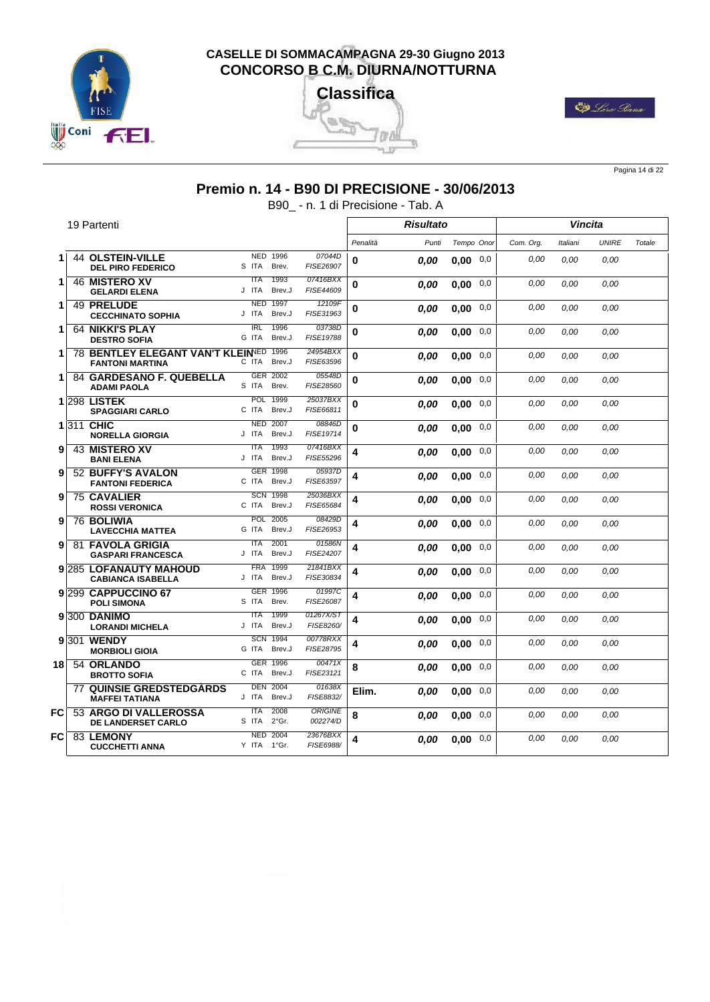





Pagina 14 di 22

#### **Premio n. 14 - B90 DI PRECISIONE - 30/06/2013**

B90\_ - n. 1 di Precisione - Tab. A

|     |    | 19 Partenti                                                     |                                                    |                            | <b>Risultato</b> |       |             | Vincita   |          |              |        |
|-----|----|-----------------------------------------------------------------|----------------------------------------------------|----------------------------|------------------|-------|-------------|-----------|----------|--------------|--------|
|     |    |                                                                 |                                                    |                            | Penalità         | Punti | Tempo Onor  | Com. Org. | Italiani | <b>UNIRE</b> | Totale |
| 1.  |    | <b>44 OLSTEIN-VILLE</b><br><b>DEL PIRO FEDERICO</b>             | <b>NED</b><br>1996<br>S ITA<br>Brev.               | 07044D<br>FISE26907        | 0                | 0.00  | 0.00<br>0,0 | 0,00      | 0.00     | 0.00         |        |
| 1.  |    | <b>46 MISTERO XV</b><br><b>GELARDI ELENA</b>                    | 1993<br><b>ITA</b><br>J ITA<br>Brev.J              | 07416BXX<br>FISE44609      | 0                | 0.00  | 0,0<br>0.00 | 0,00      | 0.00     | 0.00         |        |
| 1.  |    | 49 PRELUDE<br><b>CECCHINATO SOPHIA</b>                          | 1997<br><b>NED</b><br>J ITA<br>Brev.J              | 12109F<br>FISE31963        | 0                | 0.00  | 0,0<br>0.00 | 0,00      | 0.00     | 0.00         |        |
| 1.  |    | <b>64 NIKKI'S PLAY</b><br><b>DESTRO SOFIA</b>                   | $\overline{\text{IRL}}$<br>1996<br>Brev.J<br>G ITA | 03738D<br>FISE19788        | 0                | 0.00  | 0,00<br>0,0 | 0,00      | 0.00     | 0.00         |        |
| 1   |    | 78 BENTLEY ELEGANT VAN'T KLEINED 1996<br><b>FANTONI MARTINA</b> | C ITA<br>Brev.J                                    | 24954BXX<br>FISE63596      | $\bf{0}$         | 0,00  | 0,0<br>0.00 | 0,00      | 0.00     | 0.00         |        |
| 1   |    | 84 GARDESANO F. QUEBELLA<br><b>ADAMI PAOLA</b>                  | GER 2002<br>S ITA<br>Brev.                         | 05548D<br>FISE28560        | 0                | 0.00  | 0.00<br>0,0 | 0.00      | 0.00     | 0.00         |        |
|     |    | <b>1298 LISTEK</b><br><b>SPAGGIARI CARLO</b>                    | <b>POL</b><br>1999<br>C ITA<br>Brev.J              | 25037BXX<br>FISE66811      | 0                | 0.00  | 0.00<br>0,0 | 0.00      | 0.00     | 0.00         |        |
|     |    | 1311 CHIC<br><b>NORELLA GIORGIA</b>                             | <b>NED 2007</b><br>J ITA<br>Brev.J                 | 08846D<br>FISE19714        | $\bf{0}$         | 0.00  | 0,0<br>0.00 | 0,00      | 0.00     | 0.00         |        |
| 9   |    | <b>43 MISTERO XV</b><br><b>BANI ELENA</b>                       | 1993<br><b>ITA</b><br>Brev.J<br>J ITA              | 07416BXX<br>FISE55296      | 4                | 0.00  | 0,0<br>0,00 | 0,00      | 0,00     | 0,00         |        |
| 9   |    | 52 BUFFY'S AVALON<br><b>FANTONI FEDERICA</b>                    | GER 1998<br>C ITA<br>Brev.J                        | 05937D<br>FISE63597        | 4                | 0.00  | 0.00<br>0,0 | 0.00      | 0.00     | 0.00         |        |
| 9   |    | <b>75 CAVALIER</b><br><b>ROSSI VERONICA</b>                     | <b>SCN 1998</b><br>C ITA<br>Brev.J                 | 25036BXX<br>FISE65684      | 4                | 0.00  | 0.00<br>0,0 | 0,00      | 0.00     | 0.00         |        |
| 9   |    | <b>76 BOLIWIA</b><br><b>LAVECCHIA MATTEA</b>                    | <b>POL</b><br>2005<br>G ITA<br>Brev.J              | 08429D<br>FISE26953        | 4                | 0.00  | 0,0<br>0,00 | 0,00      | 0.00     | 0,00         |        |
| 9   |    | <b>81 FAVOLA GRIGIA</b><br><b>GASPARI FRANCESCA</b>             | 2001<br><b>ITA</b><br>J ITA<br>Brev.J              | 01586N<br>FISE24207        | 4                | 0.00  | 0,0<br>0.00 | 0,00      | 0.00     | 0.00         |        |
|     |    | 9 285 LOFANAUTY MAHOUD<br><b>CABIANCA ISABELLA</b>              | <b>FRA</b><br>1999<br>Brev.J<br>J ITA              | 21841BXX<br>FISE30834      | 4                | 0.00  | 0.00<br>0,0 | 0,00      | 0,00     | 0.00         |        |
|     |    | 9 <sup>299</sup> CAPPUCCINO 67<br><b>POLI SIMONA</b>            | GER 1996<br>S ITA<br>Brev.                         | 01997C<br>FISE26087        | 4                | 0.00  | 0,0<br>0.00 | 0,00      | 0.00     | 0.00         |        |
|     |    | $9 300$ DANIMO<br><b>LORANDI MICHELA</b>                        | 1999<br><b>ITA</b><br>J ITA<br>Brev.J              | 01267X/ST<br>FISE8260/     | 4                | 0.00  | 0.00<br>0,0 | 0.00      | 0.00     | 0.00         |        |
|     |    | 9 301 WENDY<br><b>MORBIOLI GIOIA</b>                            | <b>SCN</b><br>1994<br>G ITA<br>Brev.J              | 00778RXX<br>FISE28795      | 4                | 0,00  | 0,0<br>0.00 | 0,00      | 0.00     | 0.00         |        |
| 181 |    | 54 ORLANDO<br><b>BROTTO SOFIA</b>                               | GER 1996<br>C ITA<br>Brev.J                        | 00471X<br>FISE23121        | 8                | 0.00  | 0,0<br>0.00 | 0,00      | 0.00     | 0.00         |        |
|     | 77 | <b>QUINSIE GREDSTEDGARDS</b><br><b>MAFFEI TATIANA</b>           | <b>DEN 2004</b><br>J ITA<br>Brev.J                 | 01638X<br>FISE8832/        | Elim.            | 0.00  | 0,0<br>0,00 | 0.00      | 0.00     | 0.00         |        |
| FC  |    | 53 ARGO DI VALLEROSSA<br><b>DE LANDERSET CARLO</b>              | 2008<br><b>ITA</b><br>S ITA<br>$2°$ Gr.            | <b>ORIGINE</b><br>002274/D | 8                | 0.00  | $0,00$ 0,0  | 0,00      | 0.00     | 0,00         |        |
| FC  |    | 83 LEMONY<br><b>CUCCHETTI ANNA</b>                              | <b>NED 2004</b><br>Y ITA 1°Gr.                     | 23676BXX<br>FISE6988/      | 4                | 0.00  | 0,00<br>0,0 | 0.00      | 0.00     | 0.00         |        |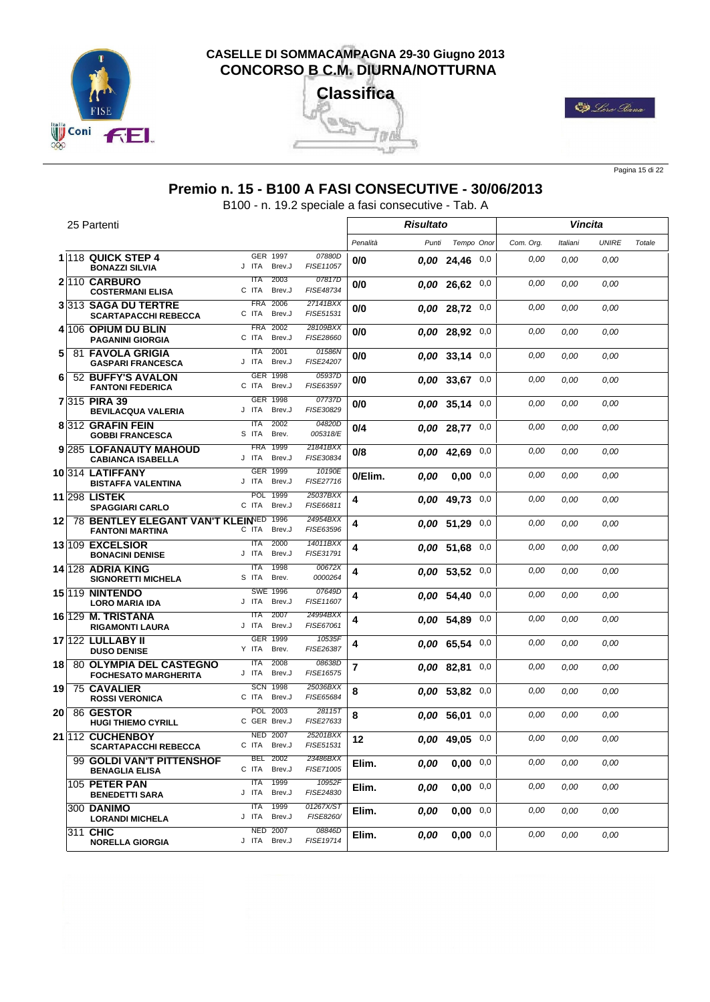





Pagina 15 di 22

#### **Premio n. 15 - B100 A FASI CONSECUTIVE - 30/06/2013**

B100 - n. 19.2 speciale a fasi consecutive - Tab. A

|                 | 25 Partenti                                                   |                                       |                        |          | Risultato |                    |     |           |          | Vincita      |        |
|-----------------|---------------------------------------------------------------|---------------------------------------|------------------------|----------|-----------|--------------------|-----|-----------|----------|--------------|--------|
|                 |                                                               |                                       |                        | Penalità | Punti     | Tempo Onor         |     | Com. Org. | Italiani | <b>UNIRE</b> | Totale |
|                 | 1 118 QUICK STEP 4<br><b>BONAZZI SILVIA</b>                   | GER 1997<br>J ITA<br>Brev.J           | 07880D<br>FISE11057    | 0/0      |           | 0.0024,4600        |     | 0.00      | 0,00     | 0,00         |        |
|                 | 2 110 CARBURO<br><b>COSTERMANI ELISA</b>                      | 2003<br>ITA<br>C ITA<br>Brev.J        | 07817D<br>FISE48734    | 0/0      |           | $0.00$ 26.62 $0.0$ |     | 0.00      | 0.00     | 0,00         |        |
|                 | 3313 SAGA DU TERTRE<br><b>SCARTAPACCHI REBECCA</b>            | <b>FRA</b><br>2006<br>C ITA<br>Brev.J | 27141BXX<br>FISE51531  | 0/0      |           | $0,00$ 28,72 $0,0$ |     | 0,00      | 0.00     | 0,00         |        |
|                 | 4 106 OPIUM DU BLIN<br><b>PAGANINI GIORGIA</b>                | <b>FRA</b><br>2002<br>C ITA<br>Brev.J | 28109BXX<br>FISE28660  | 0/0      |           | 0,00 28,92         | 0,0 | 0.00      | 0.00     | 0,00         |        |
| 5               | <b>81 FAVOLA GRIGIA</b><br><b>GASPARI FRANCESCA</b>           | <b>ITA</b><br>2001<br>J ITA<br>Brev.J | 01586N<br>FISE24207    | 0/0      |           | $0.00$ 33,14 $0.0$ |     | 0.00      | 0.00     | 0,00         |        |
| 6               | 52 BUFFY'S AVALON<br><b>FANTONI FEDERICA</b>                  | GER 1998<br>C ITA<br>Brev.J           | 05937D<br>FISE63597    | 0/0      |           | $0.00$ 33.67 0.0   |     | 0,00      | 0.00     | 0,00         |        |
|                 | 7 315 PIRA 39<br><b>BEVILACQUA VALERIA</b>                    | GER 1998<br>J ITA<br>Brev.J           | 07737D<br>FISE30829    | 0/0      |           | 0.00 35.14         | 0,0 | 0,00      | 0.00     | 0,00         |        |
|                 | 8 312 GRAFIN FEIN<br><b>GOBBI FRANCESCA</b>                   | <b>ITA</b><br>2002<br>S ITA<br>Brev.  | 04820D<br>005318/E     | 0/4      |           | $0.00$ 28,77 $0.0$ |     | 0.00      | 0.00     | 0.00         |        |
|                 | 9 285 LOFANAUTY MAHOUD<br><b>CABIANCA ISABELLA</b>            | <b>FRA</b><br>1999<br>J ITA<br>Brev.J | 21841BXX<br>FISE30834  | 0/8      |           | 0,00 42,69         | 0,0 | 0,00      | 0.00     | 0,00         |        |
|                 | 10314 LATIFFANY<br><b>BISTAFFA VALENTINA</b>                  | GER 1999<br>J ITA<br>Brev.J           | 10190E<br>FISE27716    | 0/Elim.  | 0.00      | 0,00               | 0,0 | 0,00      | 0.00     | 0,00         |        |
|                 | <b>11 298 LISTEK</b><br><b>SPAGGIARI CARLO</b>                | <b>POL</b><br>1999<br>C ITA<br>Brev.J | 25037BXX<br>FISE66811  | 4        |           | 0.00 49.73         | 0,0 | 0.00      | 0.00     | 0.00         |        |
| 12 <sub>1</sub> | 78 BENTLEY ELEGANT VAN'T KLEINED<br><b>FANTONI MARTINA</b>    | 1996<br>Brev.J<br>C ITA               | 24954BXX<br>FISE63596  | 4        |           | $0.00$ 51,29 $0.0$ |     | 0,00      | 0.00     | 0,00         |        |
|                 | 13 109 EXCELSIOR<br><b>BONACINI DENISE</b>                    | 2000<br><b>ITA</b><br>J ITA<br>Brev.J | 14011BXX<br>FISE31791  | 4        |           | $0.00$ 51.68 0,0   |     | 0.00      | 0.00     | 0.00         |        |
|                 | 14 128 ADRIA KING<br><b>SIGNORETTI MICHELA</b>                | 1998<br>ITA<br>S ITA<br>Brev.         | 00672X<br>0000264      | 4        |           | $0.00$ 53,52 $0.0$ |     | 0.00      | 0.00     | 0,00         |        |
|                 | 15 19 NINTENDO<br><b>LORO MARIA IDA</b>                       | <b>SWE 1996</b><br>Brev.J<br>J ITA    | 07649D<br>FISE11607    | 4        |           | 0,00 54,40         | 0,0 | 0.00      | 0.00     | 0,00         |        |
|                 | <b>16 129 M. TRISTANA</b><br><b>RIGAMONTI LAURA</b>           | 2007<br><b>ITA</b><br>J ITA<br>Brev.J | 24994BXX<br>FISE67061  | 4        |           | 0.00 54,89         | 0,0 | 0.00      | 0.00     | 0,00         |        |
|                 | 17 122 LULLABY II<br><b>DUSO DENISE</b>                       | <b>GER</b><br>1999<br>Y ITA<br>Brev.  | 10535F<br>FISE26387    | 4        |           | 0.00 65,54         | 0,0 | 0,00      | 0.00     | 0,00         |        |
| 18              | <b>80 OLYMPIA DEL CASTEGNO</b><br><b>FOCHESATO MARGHERITA</b> | 2008<br><b>ITA</b><br>J ITA<br>Brev.J | 08638D<br>FISE16575    | 7        |           | 0.00 82,81         | 0,0 | 0.00      | 0.00     | 0,00         |        |
| 19              | <b>75 CAVALIER</b><br><b>ROSSI VERONICA</b>                   | <b>SCN</b><br>1998<br>C ITA<br>Brev.J | 25036BXX<br>FISE65684  | 8        |           | $0.00$ 53,82 $0.0$ |     | 0.00      | 0.00     | 0,00         |        |
| 20              | 86 GESTOR<br><b>HUGI THIEMO CYRILL</b>                        | 2003<br>POL<br>C GER Brev.J           | 28115T<br>FISE27633    | 8        |           | 0.00 56.01         | 0,0 | 0.00      | 0.00     | 0,00         |        |
|                 | 21 112 CUCHENBOY<br><b>SCARTAPACCHI REBECCA</b>               | <b>NED 2007</b><br>C ITA Brev.J       | 25201BXX<br>FISE51531  | 12       |           | $0.00$ 49,05 0,0   |     | 0.00      | 0.00     | 0.00         |        |
|                 | 99 GOLDI VAN'T PITTENSHOF<br><b>BENAGLIA ELISA</b>            | <b>BEL 2002</b><br>Brev.J<br>C ITA    | 23486BXX<br>FISE71005  | Elim.    | 0,00      | $0,00$ 0,0         |     | 0,00      | 0.00     | 0.00         |        |
|                 | 105 PETER PAN<br><b>BENEDETTI SARA</b>                        | ITA 1999<br>J ITA<br>Brev.J           | 10952F<br>FISE24830    | Elim.    | 0,00      | $0,00$ 0,0         |     | 0,00      | 0,00     | 0,00         |        |
|                 | <b>300 DANIMO</b><br><b>LORANDI MICHELA</b>                   | ITA 1999<br>Brev.J<br>J ITA           | 01267X/ST<br>FISE8260/ | Elim.    | 0,00      | $0,00$ 0,0         |     | 0,00      | 0,00     | 0.00         |        |
|                 | 311 CHIC<br><b>NORELLA GIORGIA</b>                            | <b>NED 2007</b><br>J ITA Brev.J       | 08846D<br>FISE19714    | Elim.    | 0.00      | $0,00$ 0,0         |     | 0,00      | 0,00     | 0.00         |        |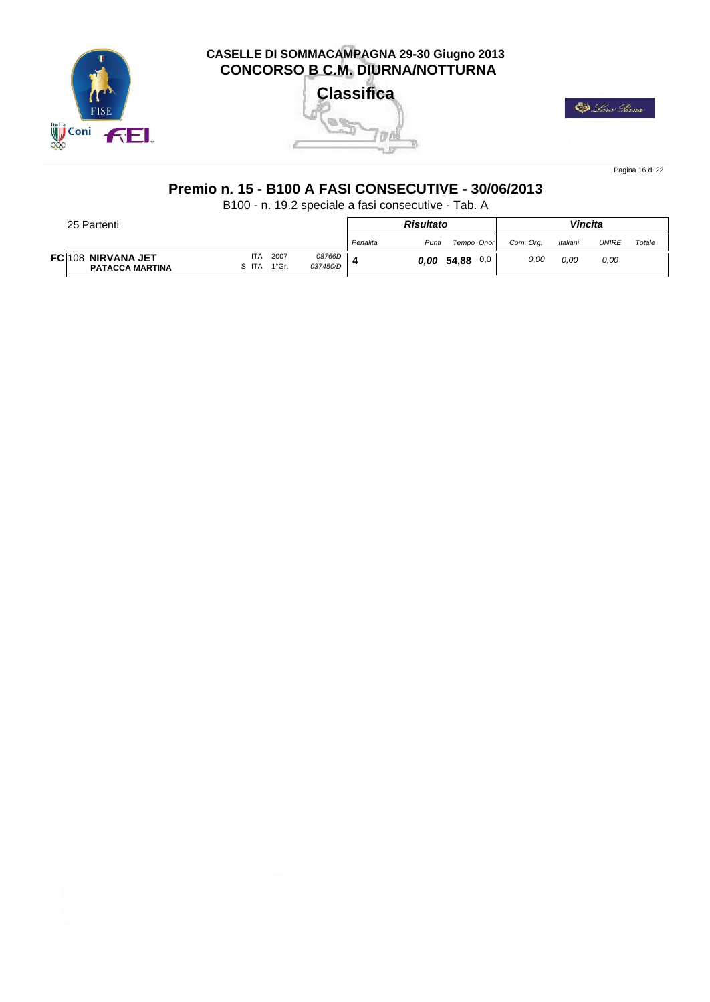

Tara 气力

23



Pagina 16 di 22

# **Premio n. 15 - B100 A FASI CONSECUTIVE - 30/06/2013**

B100 - n. 19.2 speciale a fasi consecutive - Tab. A

| 25 Partenti                                  |                     |               |                    |          | <b>Risultato</b> |              |           | Vincita  |              |        |
|----------------------------------------------|---------------------|---------------|--------------------|----------|------------------|--------------|-----------|----------|--------------|--------|
|                                              |                     |               |                    | Penalità | Punti            | Tempo Onor   | Com. Ora. | Italiani | <b>UNIRE</b> | Totale |
| FC 108 NIRVANA JET<br><b>PATACCA MARTINA</b> | <b>ITA</b><br>S ITA | 2007<br>1°Gr. | 08766D<br>037450/D |          | 0.00             | 54,88<br>0,0 | 0,00      | 0.00     | 0,00         |        |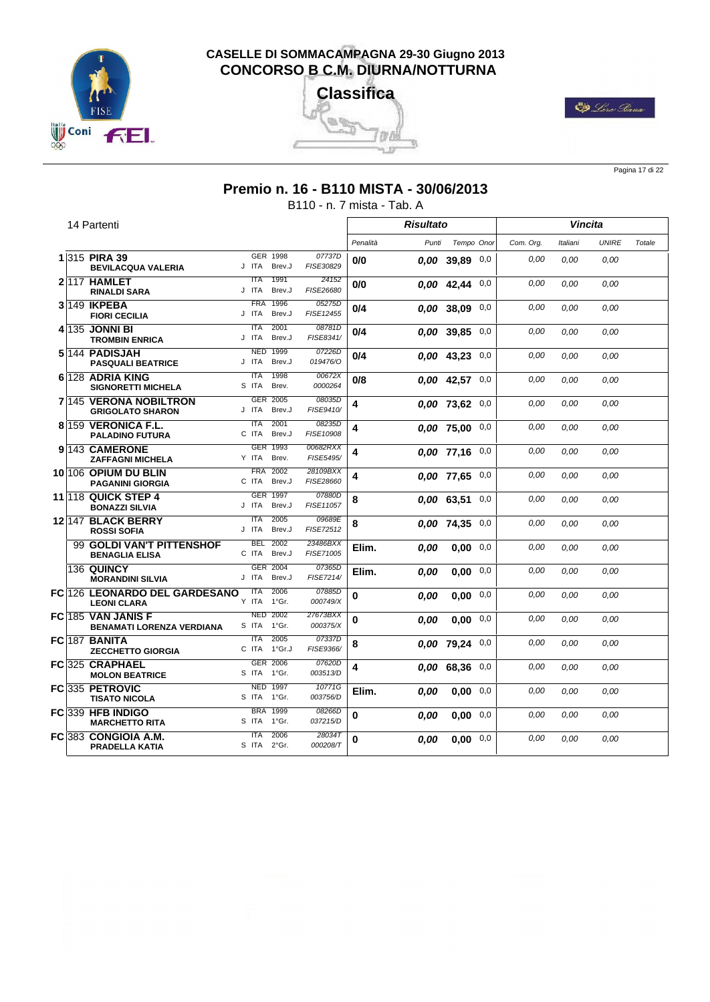





Pagina 17 di 22

## **Premio n. 16 - B110 MISTA - 30/06/2013**

B110 - n. 7 mista - Tab. A

|  | 14 Partenti                                                   |                                              |                       |              | Risultato |                    |     |           |          | Vincita      |        |
|--|---------------------------------------------------------------|----------------------------------------------|-----------------------|--------------|-----------|--------------------|-----|-----------|----------|--------------|--------|
|  |                                                               |                                              |                       | Penalità     | Punti     | Tempo Onor         |     | Com. Ora. | Italiani | <b>UNIRE</b> | Totale |
|  | 1 315 PIRA 39<br><b>BEVILACQUA VALERIA</b>                    | GER 1998<br>J ITA<br>Brev.J                  | 07737D<br>FISE30829   | 0/0          |           | $0.00$ 39,89 0,0   |     | 0,00      | 0.00     | 0.00         |        |
|  | 2117 HAMLET<br><b>RINALDI SARA</b>                            | 1991<br><b>ITA</b><br>J ITA<br>Brev.J        | 24152<br>FISE26680    | 0/0          |           | $0,00$ 42,44 0,0   |     | 0,00      | 0.00     | 0.00         |        |
|  | 3 149 IKPEBA<br><b>FIORI CECILIA</b>                          | 1996<br><b>FRA</b><br>J ITA<br>Brev.J        | 05275D<br>FISE12455   | 0/4          |           | $0.00$ 38.09 $0.0$ |     | 0.00      | 0.00     | 0.00         |        |
|  | 4 135 JONNI BI<br><b>TROMBIN ENRICA</b>                       | <b>ITA</b><br>2001<br>J ITA<br>Brev.J        | 08781D<br>FISE8341/   | 0/4          |           | $0.00$ 39.85 $0.0$ |     | 0.00      | 0.00     | 0,00         |        |
|  | 5144 PADISJAH<br><b>PASQUALI BEATRICE</b>                     | 1999<br><b>NED</b><br>J ITA<br>Brev.J        | 07226D<br>019476/0    | 0/4          |           | $0,00$ 43,23 0,0   |     | 0,00      | 0,00     | 0,00         |        |
|  | 6 128 ADRIA KING<br><b>SIGNORETTI MICHELA</b>                 | 1998<br><b>ITA</b><br>S ITA<br>Brev.         | 00672X<br>0000264     | 0/8          |           | $0.00$ 42.57 0.0   |     | 0.00      | 0.00     | 0.00         |        |
|  | 7 145 VERONA NOBILTRON<br><b>GRIGOLATO SHARON</b>             | GER 2005<br>J ITA<br>Brev.J                  | 08035D<br>FISE9410/   | 4            |           | $0.00$ 73.62 $0.0$ |     | 0,00      | 0,00     | 0,00         |        |
|  | 8 159 VERONICA F.L.<br><b>PALADINO FUTURA</b>                 | 2001<br><b>ITA</b><br>C ITA<br>Brev.J        | 08235D<br>FISE10908   | 4            |           | 0,00 75,00         | 0,0 | 0,00      | 0,00     | 0,00         |        |
|  | 9 <sup>143</sup> CAMERONE<br><b>ZAFFAGNI MICHELA</b>          | <b>GER</b><br>1993<br>Y ITA<br>Brev.         | 00682RXX<br>FISE5495/ | 4            |           | $0.00$ 77.16 $0.0$ |     | 0,00      | 0.00     | 0.00         |        |
|  | 10 106 OPIUM DU BLIN<br><b>PAGANINI GIORGIA</b>               | 2002<br><b>FRA</b><br>C ITA<br>Brev.J        | 28109BXX<br>FISE28660 | 4            |           | $0.00$ 77,65 0,0   |     | 0,00      | 0.00     | 0.00         |        |
|  | 11 118 QUICK STEP 4<br><b>BONAZZI SILVIA</b>                  | <b>GER 1997</b><br>J ITA<br>Brev.J           | 07880D<br>FISE11057   | 8            |           | 0,00 63,51         | 0,0 | 0,00      | 0,00     | 0,00         |        |
|  | 12 147 BLACK BERRY<br><b>ROSSI SOFIA</b>                      | 2005<br><b>ITA</b><br>J ITA<br>Brev.J        | 09689E<br>FISE72512   | 8            |           | $0.00$ 74.35 $0.0$ |     | 0,00      | 0.00     | 0.00         |        |
|  | 99 GOLDI VAN'T PITTENSHOF<br><b>BENAGLIA ELISA</b>            | <b>BEL</b><br>2002<br>C ITA<br>Brev.J        | 23486BXX<br>FISE71005 | Elim.        | 0.00      | 0,00               | 0,0 | 0,00      | 0,00     | 0,00         |        |
|  | 136 QUINCY<br><b>MORANDINI SILVIA</b>                         | GER 2004<br>J ITA<br>Brev.J                  | 07365D<br>FISE7214/   | Elim.        | 0.00      | 0.00               | 0,0 | 0,00      | 0,00     | 0,00         |        |
|  | <b>FC 126 LEONARDO DEL GARDESANO</b><br><b>LEONI CLARA</b>    | 2006<br><b>ITA</b><br>1°Gr.<br>Y ITA<br>2002 | 07885D<br>000749/X    | $\mathbf{0}$ | 0.00      | 0.00               | 0,0 | 0,00      | 0.00     | 0.00         |        |
|  | <b>FC 185 VAN JANIS F</b><br><b>BENAMATI LORENZA VERDIANA</b> | <b>NED</b><br>1°Gr.<br>S ITA                 | 27673BXX<br>000375/X  | $\bf{0}$     | 0.00      | 0.00               | 0,0 | 0,00      | 0,00     | 0,00         |        |
|  | FC 187 BANITA<br><b>ZECCHETTO GIORGIA</b>                     | 2005<br><b>ITA</b><br>1°Gr.J<br>C ITA        | 07337D<br>FISE9366/   | 8            |           | $0,00$ 79,24 $0,0$ |     | 0,00      | 0,00     | 0,00         |        |
|  | FC 325 CRAPHAEL<br><b>MOLON BEATRICE</b>                      | GER 2006<br>S ITA<br>1°Gr.                   | 07620D<br>003513/D    | 4            |           | 0.00 68.36         | 0,0 | 0,00      | 0.00     | 0.00         |        |
|  | FC 335 PETROVIC<br><b>TISATO NICOLA</b>                       | <b>NED 1997</b><br>S ITA<br>1°Gr.            | 10771G<br>003756/D    | Elim.        | 0.00      | 0.00               | 0,0 | 0,00      | 0,00     | 0.00         |        |
|  | FC 339 HFB INDIGO<br><b>MARCHETTO RITA</b>                    | 1999<br><b>BRA</b><br>S ITA 1°Gr.            | 08266D<br>037215/D    | 0            | 0.00      | $0,00$ 0,0         |     | 0,00      | 0,00     | 0,00         |        |
|  | FC 383 CONGIOIA A.M.<br><b>PRADELLA KATIA</b>                 | <b>ITA</b><br>2006<br>S ITA 2°Gr.            | 280347<br>000208/T    | 0            | 0.00      | 0.00               | 0,0 | 0.00      | 0.00     | 0.00         |        |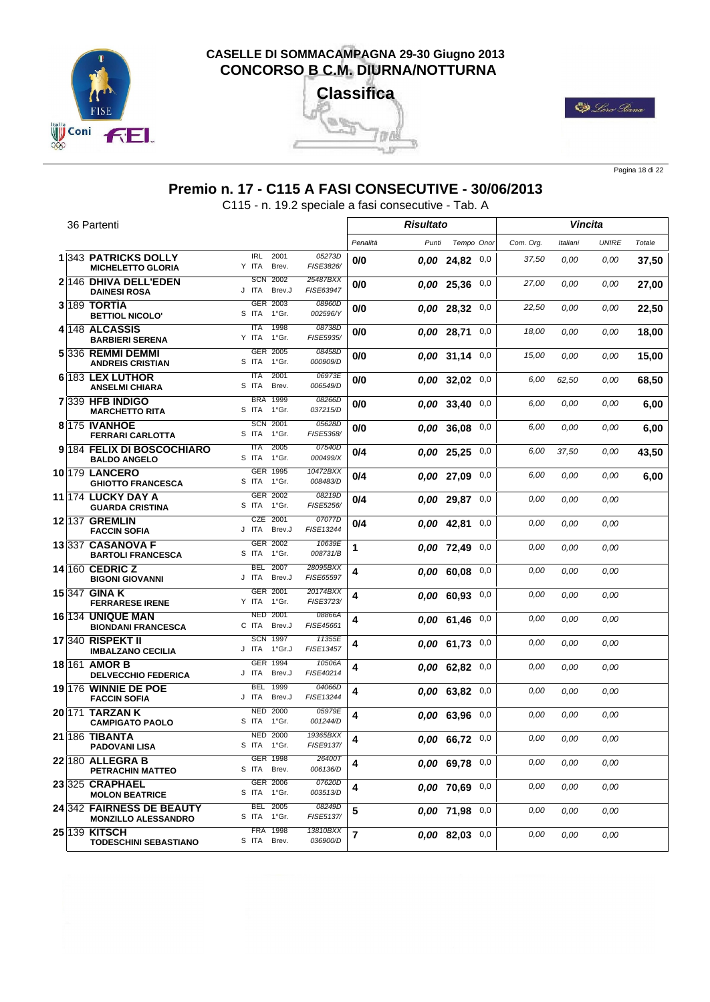





Pagina 18 di 22

# **Premio n. 17 - C115 A FASI CONSECUTIVE - 30/06/2013**

C115 - n. 19.2 speciale a fasi consecutive - Tab. A

|  | 36 Partenti                                             |                                       |                       |          | <b>Risultato</b> |                    |          |           |          | <b>Vincita</b> |        |
|--|---------------------------------------------------------|---------------------------------------|-----------------------|----------|------------------|--------------------|----------|-----------|----------|----------------|--------|
|  |                                                         |                                       |                       | Penalità | Punti            | Tempo Onor         |          | Com. Org. | Italiani | <b>UNIRE</b>   | Totale |
|  | <b>1343 PATRICKS DOLLY</b><br><b>MICHELETTO GLORIA</b>  | <b>IRL</b><br>2001<br>Y ITA<br>Brev.  | 05273D<br>FISE3826/   | 0/0      |                  | $0.00$ 24,82 0,0   |          | 37,50     | 0,00     | 0,00           | 37,50  |
|  | 2 146 DHIVA DELL'EDEN<br><b>DAINESI ROSA</b>            | 2002<br><b>SCN</b><br>J ITA<br>Brev.J | 25487BXX<br>FISE63947 | 0/0      |                  | 0.00 25,36         | 0,0      | 27,00     | 0.00     | 0,00           | 27,00  |
|  | <b>3 189 TORTIA</b><br><b>BETTIOL NICOLO'</b>           | GER 2003<br>S ITA<br>1°Gr.            | 08960D<br>002596/Y    | 0/0      |                  | 0.00 28.32         | 0,0      | 22,50     | 0,00     | 0.00           | 22,50  |
|  | 4 <sup>148</sup> ALCASSIS<br><b>BARBIERI SERENA</b>     | <b>ITA</b><br>1998<br>Y ITA<br>1°Gr.  | 08738D<br>FISE5935/   | 0/0      |                  | 0.00 28.71         | 0,0      | 18,00     | 0,00     | 0,00           | 18,00  |
|  | 5336 REMMI DEMMI<br><b>ANDREIS CRISTIAN</b>             | GER 2005<br>S ITA<br>1°Gr.            | 08458D<br>000909/D    | 0/0      |                  | $0.00$ 31,14 0,0   |          | 15,00     | 0,00     | 0.00           | 15,00  |
|  | 6 183 LEX LUTHOR<br><b>ANSELMI CHIARA</b>               | <b>ITA</b><br>2001<br>S ITA<br>Brev.  | 06973E<br>006549/D    | 0/0      |                  | $0.00$ 32.02 0.0   |          | 6,00      | 62,50    | 0,00           | 68,50  |
|  | 7339 HFB INDIGO<br><b>MARCHETTO RITA</b>                | <b>BRA 1999</b><br>S ITA 1°Gr.        | 08266D<br>037215/D    | 0/0      |                  | 0.00 33,40         | 0,0      | 6,00      | 0,00     | 0.00           | 6,00   |
|  | 8 175 IVANHOE<br><b>FERRARI CARLOTTA</b>                | <b>SCN 2001</b><br>S ITA<br>1°Gr.     | 05628D<br>FISE5368/   | 0/0      |                  | $0.00$ 36,08 $0.0$ |          | 6,00      | 0,00     | 0.00           | 6,00   |
|  | 9 184 FELIX DI BOSCOCHIARO<br><b>BALDO ANGELO</b>       | 2005<br><b>ITA</b><br>S ITA<br>1°Gr.  | 07540D<br>000499/X    | 0/4      |                  | 0.00 25.25         | 0,0      | 6,00      | 37,50    | 0,00           | 43,50  |
|  | 10 179 LANCERO<br><b>GHIOTTO FRANCESCA</b>              | GER 1995<br>S ITA 1°Gr.               | 10472BXX<br>008483/D  | 0/4      |                  | 0,00 27,09         | $_{0,0}$ | 6,00      | 0,00     | 0.00           | 6,00   |
|  | <b>11 174 LUCKY DAY A</b><br><b>GUARDA CRISTINA</b>     | GER 2002<br>S ITA<br>1°Gr.            | 08219D<br>FISE5256/   | 0/4      |                  | $0.00$ 29,87 0,0   |          | 0,00      | 0,00     | 0.00           |        |
|  | <b>12 137 GREMLIN</b><br><b>FACCIN SOFIA</b>            | <b>CZE</b><br>2001<br>Brev.J<br>J ITA | 07077D<br>FISE13244   | 0/4      |                  | 0.00 42,81         | 0,0      | 0,00      | 0,00     | 0,00           |        |
|  | 13 337 CASANOVA F<br><b>BARTOLI FRANCESCA</b>           | GER 2002<br>S ITA<br>1°Gr.            | 10639E<br>008731/B    | 1        |                  | 0.00 72,49         | 0,0      | 0,00      | 0,00     | 0,00           |        |
|  | 14 160 CEDRIC Z<br><b>BIGONI GIOVANNI</b>               | <b>BEL</b><br>2007<br>J ITA<br>Brev.J | 28095BXX<br>FISE65597 | 4        |                  | $0.00\ 60.08$      | $_{0,0}$ | 0,00      | 0,00     | 0,00           |        |
|  | 15 347 GINA K<br><b>FERRARESE IRENE</b>                 | GER 2001<br>Y ITA<br>1°Gr.            | 20174BXX<br>FISE3723/ | 4        |                  | $0.00$ 60.93 0,0   |          | 0,00      | 0,00     | 0,00           |        |
|  | 16 134 UNIQUE MAN<br><b>BIONDANI FRANCESCA</b>          | <b>NED</b><br>2001<br>C ITA<br>Brev.J | 08866A<br>FISE45661   | 4        |                  | 0.00 61.46         | 0,0      | 0,00      | 0,00     | 0,00           |        |
|  | 17 340 RISPEKT II<br><b>IMBALZANO CECILIA</b>           | 1997<br><b>SCN</b><br>1°Gr.J<br>J ITA | 11355E<br>FISE13457   | 4        |                  | $0.00$ 61,73 0,0   |          | 0,00      | 0,00     | 0,00           |        |
|  | 18 161 AMOR B<br><b>DELVECCHIO FEDERICA</b>             | GER 1994<br>J ITA<br>Brev.J           | 10506A<br>FISE40214   | 4        |                  | $0.00$ 62,82 0,0   |          | 0,00      | 0,00     | 0,00           |        |
|  | 19 176 WINNIE DE POE<br><b>FACCIN SOFIA</b>             | 1999<br><b>BEL</b><br>J ITA<br>Brev.J | 04066D<br>FISE13244   | 4        |                  | 0.00 63,82         | 0,0      | 0,00      | 0.00     | 0,00           |        |
|  | <b>20 171 TARZAN K</b><br><b>CAMPIGATO PAOLO</b>        | 2000<br><b>NED</b><br>1°Gr.<br>S ITA  | 05979E<br>001244/D    | 4        |                  | $0.00$ 63,96 $0.0$ |          | 0,00      | 0,00     | 0,00           |        |
|  | <b>21 186 TIBANTA</b><br><b>PADOVANI LISA</b>           | <b>NED 2000</b><br>S ITA 1°Gr.        | 19365BXX<br>FISE9137/ | 4        |                  | 0.00 66,72 0,0     |          | 0.00      | 0,00     | 0.00           |        |
|  | 22 180 ALLEGRA B<br>PETRACHIN MATTEO                    | <b>GER 1998</b><br>S ITA Brev.        | 26400T<br>006136/D    | 4        |                  | 0,00 69,78 0,0     |          | 0,00      | 0,00     | 0.00           |        |
|  | 23 325 CRAPHAEL<br><b>MOLON BEATRICE</b>                | GER 2006<br>S ITA 1°Gr.               | 07620D<br>003513/D    | 4        |                  | $0.00$ 70.69 $0.0$ |          | 0,00      | 0,00     | 0,00           |        |
|  | 24 342 FAIRNESS DE BEAUTY<br><b>MONZILLO ALESSANDRO</b> | <b>BEL 2005</b><br>S ITA 1°Gr.        | 08249D<br>FISE5137/   | 5        |                  | 0,00 71,98 0,0     |          | 0,00      | 0,00     | 0.00           |        |
|  | 25 139 KITSCH<br><b>TODESCHINI SEBASTIANO</b>           | FRA 1998<br>S ITA Brev.               | 13810BXX<br>036900/D  | 7        |                  | $0.00$ 82.03 0,0   |          | 0,00      | 0.00     | 0.00           |        |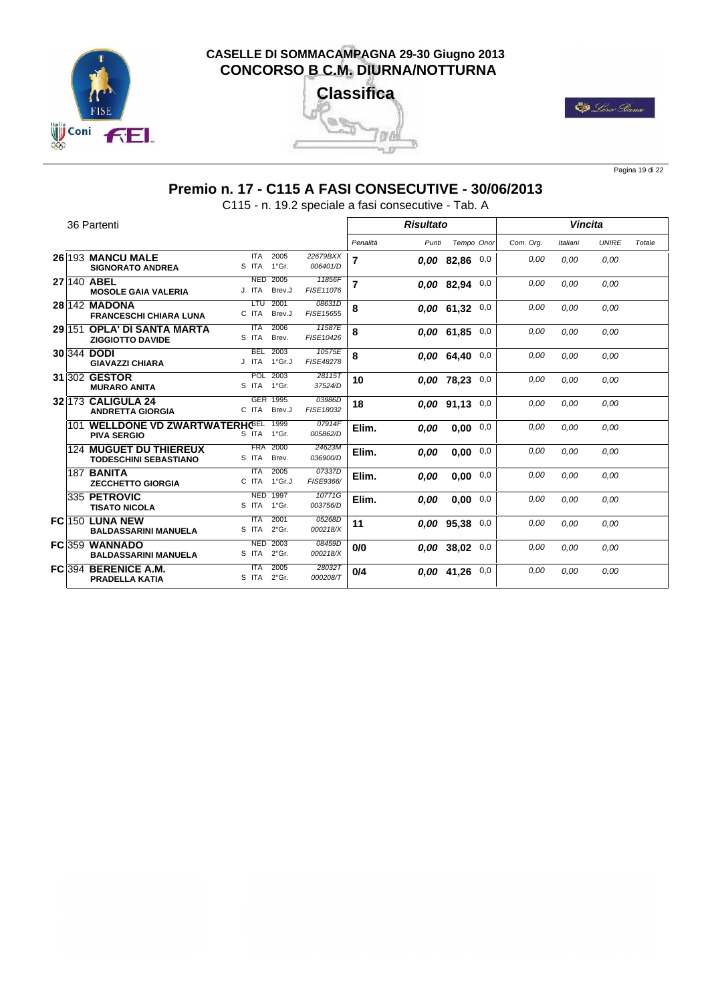





Pagina 19 di 22

# **Premio n. 17 - C115 A FASI CONSECUTIVE - 30/06/2013**

C115 - n. 19.2 speciale a fasi consecutive - Tab. A

|          | 36 Partenti                                                       |                     |                          |                      |                | <b>Risultato</b> |                    |     |           | <b>Vincita</b> |              |        |
|----------|-------------------------------------------------------------------|---------------------|--------------------------|----------------------|----------------|------------------|--------------------|-----|-----------|----------------|--------------|--------|
|          |                                                                   |                     |                          |                      | Penalità       | Punti            | Tempo Onor         |     | Com. Ora. | Italiani       | <b>UNIRE</b> | Totale |
|          | 26 193 MANCU MALE<br><b>SIGNORATO ANDREA</b>                      | <b>ITA</b><br>S ITA | 2005<br>1°Gr.            | 22679BXX<br>006401/D | 7              |                  | $0.00$ 82,86 0,0   |     | 0.00      | 0.00           | 0.00         |        |
|          | 27 140 ABEL<br><b>MOSOLE GAIA VALERIA</b>                         | <b>NED</b><br>J ITA | 2005<br>Brev.J           | 11856F<br>FISE11076  | $\overline{7}$ |                  | $0.00$ 82,94 $0.0$ |     | 0.00      | 0.00           | 0,00         |        |
|          | 28 142 MADONA<br><b>FRANCESCHI CHIARA LUNA</b>                    | LTU<br>C ITA        | 2001<br>Brev.J           | 08631D<br>FISE15655  | 8              |                  | $0.00$ 61,32 0,0   |     | 0.00      | 0.00           | 0.00         |        |
| 29 151   | <b>OPLA' DI SANTA MARTA</b><br><b>ZIGGIOTTO DAVIDE</b>            | <b>ITA</b><br>S ITA | 2006<br>Brev.            | 11587E<br>FISE10426  | 8              |                  | 0.00 61,85         | 0,0 | 0.00      | 0.00           | 0,00         |        |
|          | 30 344 DODI<br><b>GIAVAZZI CHIARA</b>                             | <b>BEL</b>          | 2003<br>J ITA 1°Gr.J     | 10575E<br>FISE48278  | 8              |                  | 0.00 64.40         | 0.0 | 0.00      | 0.00           | 0.00         |        |
|          | 31 302 GESTOR<br><b>MURARO ANITA</b>                              |                     | POL 2003<br>S ITA 1°Gr.  | 28115T<br>37524/D    | 10             |                  | 0,00 78,23 0,0     |     | 0.00      | 0.00           | 0,00         |        |
|          | 32 173 CALIGULA 24<br><b>ANDRETTA GIORGIA</b>                     | C ITA               | GER 1995<br>Brev.J       | 03986D<br>FISE18032  | 18             |                  | $0.00$ 91,13 0,0   |     | 0.00      | 0.00           | 0.00         |        |
|          | 101 WELLDONE VD ZWARTWATERHC <sup>BEL</sup><br><b>PIVA SERGIO</b> |                     | 1999<br>S ITA 1°Gr.      | 07914F<br>005862/D   | Elim.          | 0.00             | 0.00               | 0,0 | 0.00      | 0.00           | 0.00         |        |
|          | <b>124 MUGUET DU THIEREUX</b><br><b>TODESCHINI SEBASTIANO</b>     | <b>FRA</b><br>S ITA | 2000<br>Brev.            | 24623M<br>036900/D   | Elim.          | 0,00             | 0.00               | 0,0 | 0.00      | 0.00           | 0.00         |        |
|          | <b>187 BANITA</b><br><b>ZECCHETTO GIORGIA</b>                     | <b>ITA</b>          | 2005<br>C ITA 1°Gr.J     | 07337D<br>FISE9366/  | Elim.          | 0.00             | $0,00$ 0,0         |     | 0.00      | 0.00           | 0.00         |        |
|          | 335 PETROVIC<br><b>TISATO NICOLA</b>                              | S ITA               | <b>NED 1997</b><br>1°Gr. | 10771G<br>003756/D   | Elim.          | 0.00             | $0.00 \quad 0.0$   |     | 0.00      | 0,00           | 0,00         |        |
|          | FC 150 LUNA NEW<br><b>BALDASSARINI MANUELA</b>                    | <b>ITA</b><br>S ITA | 2001<br>$2°$ Gr.         | 05268D<br>000218/X   | 11             |                  | $0.00$ 95,38 0,0   |     | 0.00      | 0,00           | 0,00         |        |
|          | FC 359 WANNADO<br><b>BALDASSARINI MANUELA</b>                     | <b>NED</b><br>S ITA | 2003<br>$2°$ Gr.         | 08459D<br>000218/X   | 0/0            |                  | $0.00$ 38,02 $0.0$ |     | 0.00      | 0.00           | 0.00         |        |
| $FC$ 394 | <b>BERENICE A.M.</b><br><b>PRADELLA KATIA</b>                     | <b>ITA</b><br>S ITA | 2005<br>$2^{\circ}$ Gr.  | 280327<br>000208/T   | 0/4            |                  | $0.00$ 41.26 $0.0$ |     | 0.00      | 0.00           | 0,00         |        |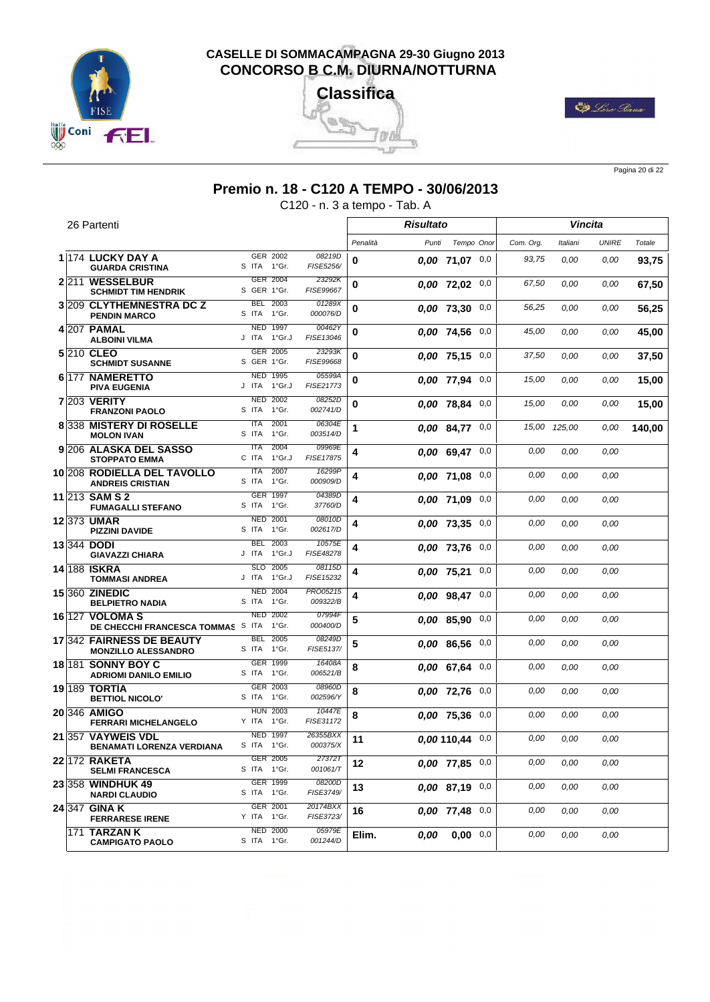





Pagina 20 di 22

#### **Premio n. 18 - C120 A TEMPO - 30/06/2013**

C120 - n. 3 a tempo - Tab. A

|         | 26 Partenti                                               |                                 |                           |                             |          | <b>Risultato</b> |                     |          |           |          | Vincita      |        |
|---------|-----------------------------------------------------------|---------------------------------|---------------------------|-----------------------------|----------|------------------|---------------------|----------|-----------|----------|--------------|--------|
|         |                                                           |                                 |                           |                             | Penalità | Punti            | Tempo Onor          |          | Com. Org. | Italiani | <b>UNIRE</b> | Totale |
|         | 1 174 LUCKY DAY A<br><b>GUARDA CRISTINA</b>               | S ITA 1°Gr.                     | GER 2002                  | 08219D<br>FISE5256/         | 0        |                  | $0.00$ 71,07 0,0    |          | 93,75     | 0,00     | 0,00         | 93,75  |
| 2 2 1 1 | <b>WESSELBUR</b><br><b>SCHMIDT TIM HENDRIK</b>            | S GER 1°Gr.                     | GER 2004                  | 23292K<br>FISE99667         | 0        |                  | 0,00 72,02 0,0      |          | 67,50     | 0.00     | 0,00         | 67,50  |
|         | 3 209 CLYTHEMNESTRA DC Z<br><b>PENDIN MARCO</b>           | S ITA                           | BEL 2003<br>1°Gr.         | 01289X<br>000076/D          | 0        |                  | $0.00$ 73,30 $0.0$  |          | 56,25     | 0,00     | 0,00         | 56,25  |
|         | 4 207 PAMAL<br><b>ALBOINI VILMA</b>                       | <b>NED 1997</b><br>J ITA 1°Gr.J |                           | 00462Y<br>FISE13046         | 0        |                  | 0,00 74,56          | 0,0      | 45,00     | 0.00     | 0,00         | 45,00  |
|         | 5 210 CLEO<br><b>SCHMIDT SUSANNE</b>                      | S GER 1°Gr.                     | GER 2005                  | 23293K<br>FISE99668         | 0        |                  | 0,00 75,15 0,0      |          | 37,50     | 0,00     | 0,00         | 37,50  |
|         | 6 177 NAMERETTO<br><b>PIVA EUGENIA</b>                    | J ITA                           | <b>NED 1995</b><br>1°Gr.J | 05599A<br>FISE21773         | 0        |                  | 0,00 77,94 0,0      |          | 15,00     | 0,00     | 0,00         | 15,00  |
|         | <b>7 203 VERITY</b><br><b>FRANZONI PAOLO</b>              | S ITA 1°Gr.                     | <b>NED 2002</b>           | 08252D<br>002741/D          | 0        |                  | 0,00 78,84          | 0,0      | 15,00     | 0.00     | 0,00         | 15,00  |
|         | 8338 MISTERY DI ROSELLE<br><b>MOLON IVAN</b>              | <b>ITA</b><br>S ITA             | 2001<br>1°Gr.             | 06304E<br>003514/D          | 1        |                  | $0.00$ 84,77 0,0    |          | 15,00     | 125,00   | 0,00         | 140,00 |
|         | 9 206 ALASKA DEL SASSO<br><b>STOPPATO EMMA</b>            | <b>ITA</b><br>C ITA             | 2004<br>1°Gr.J            | 09969E<br>FISE17875         | 4        |                  | $0.00$ 69.47 0,0    |          | 0,00      | 0,00     | 0,00         |        |
|         | 10 208 RODIELLA DEL TAVOLLO<br><b>ANDREIS CRISTIAN</b>    | <b>ITA</b><br>S ITA             | 2007<br>1°Gr.             | 16299P<br>000909/D          | 4        |                  | 0.00 71.08          | 0,0      | 0.00      | 0,00     | 0,00         |        |
|         | 11 213 SAM S 2<br><b>FUMAGALLI STEFANO</b>                | S ITA 1°Gr.                     | GER 1997                  | 04389D<br>37760/D           | 4        |                  | 0,00 71,09 0,0      |          | 0.00      | 0.00     | 0.00         |        |
|         | 12 373 UMAR<br><b>PIZZINI DAVIDE</b>                      | S ITA                           | <b>NED 2001</b><br>1°Gr.  | 08010D<br>002617/D          | 4        |                  | 0.00 73.35          | $_{0,0}$ | 0,00      | 0,00     | 0,00         |        |
|         | 13 344 DODI<br><b>GIAVAZZI CHIARA</b>                     | <b>BEL</b><br>J ITA             | 2003<br>1°Gr.J            | 10575E<br>FISE48278         | 4        |                  | $0.00$ 73,76 $0.0$  |          | 0.00      | 0,00     | 0,00         |        |
|         | 14 188 ISKRA<br><b>TOMMASI ANDREA</b>                     | J ITA 1°Gr.J                    | SLO 2005                  | 08115D<br>FISE15232         | 4        |                  | 0,00 75,21          | 0,0      | 0.00      | 0.00     | 0,00         |        |
|         | <b>15 360 ZINEDIC</b><br><b>BELPIETRO NADIA</b>           | S ITA 1°Gr.                     | <b>NED 2004</b>           | <b>PRO05215</b><br>009322/B | 4        |                  | $0.00$ 98,47 0,0    |          | 0,00      | 0,00     | 0,00         |        |
|         | 16 127 VOLOMA S<br>DE CHECCHI FRANCESCA TOMMAS SITA       |                                 | <b>NED 2002</b><br>1°Gr.  | 07994F<br>000400/D          | 5        |                  | $0.00$ 85,90 0,0    |          | 0,00      | 0,00     | 0,00         |        |
|         | 17 342 FAIRNESS DE BEAUTY<br><b>MONZILLO ALESSANDRO</b>   | S ITA 1°Gr.                     | <b>BEL 2005</b>           | 08249D<br>FISE5137/         | 5        |                  | 0,00 86,56 0,0      |          | 0,00      | 0,00     | 0,00         |        |
|         | <b>18 181 SONNY BOY C</b><br><b>ADRIOMI DANILO EMILIO</b> | S ITA 1°Gr.                     | GER 1999                  | 16408A<br>006521/B          | 8        |                  | 0,00 67,64 0,0      |          | 0,00      | 0.00     | 0,00         |        |
|         | 19 189 TORTIA<br><b>BETTIOL NICOLO'</b>                   | S ITA                           | GER 2003<br>1°Gr.         | 08960D<br>002596/Y          | 8        |                  | 0.00 72.76          | 0,0      | 0.00      | 0.00     | 0,00         |        |
|         | 20 346 AMIGO<br><b>FERRARI MICHELANGELO</b>               | Y ITA 1°Gr.                     | <b>HUN 2003</b>           | 10447E<br>FISE31172         | 8        |                  | 0.00 75.36          | 0,0      | 0.00      | 0.00     | 0,00         |        |
|         | 21 357 VAYWEIS VDL<br><b>BENAMATI LORENZA VERDIANA</b>    | <b>NED 1997</b><br>S ITA 1°Gr.  |                           | 26355BXX<br>000375/X        | 11       |                  | $0.00110.44$ 0.0    |          | 0.00      | 0.00     | 0,00         |        |
|         | 22 172 RAKETA<br><b>SELMI FRANCESCA</b>                   | S ITA 1°Gr.                     | GER 2005                  | 27372T<br>001061/T          | 12       |                  | $0.00$ 77.85 $0.0$  |          | 0,00      | 0.00     | 0.00         |        |
|         | 23 358 WINDHUK 49<br><b>NARDI CLAUDIO</b>                 | S ITA 1°Gr.                     | GER 1999                  | 08200D<br>FISE3749/         | 13       |                  | $0.00$ 87,19 0,0    |          | 0,00      | 0,00     | 0,00         |        |
|         | 24 347 GINA K<br><b>FERRARESE IRENE</b>                   | Y ITA 1°Gr.                     | GER 2001                  | 20174BXX<br>FISE3723/       | 16       |                  | 0,00 77,48 0,0      |          | 0,00      | 0,00     | 0,00         |        |
|         | 171 TARZAN K<br><b>CAMPIGATO PAOLO</b>                    | S ITA 1°Gr.                     | <b>NED 2000</b>           | 05979E<br>001244/D          | Elim.    |                  | $0,00$ $0,00$ $0,0$ |          | 0,00      | 0,00     | 0,00         |        |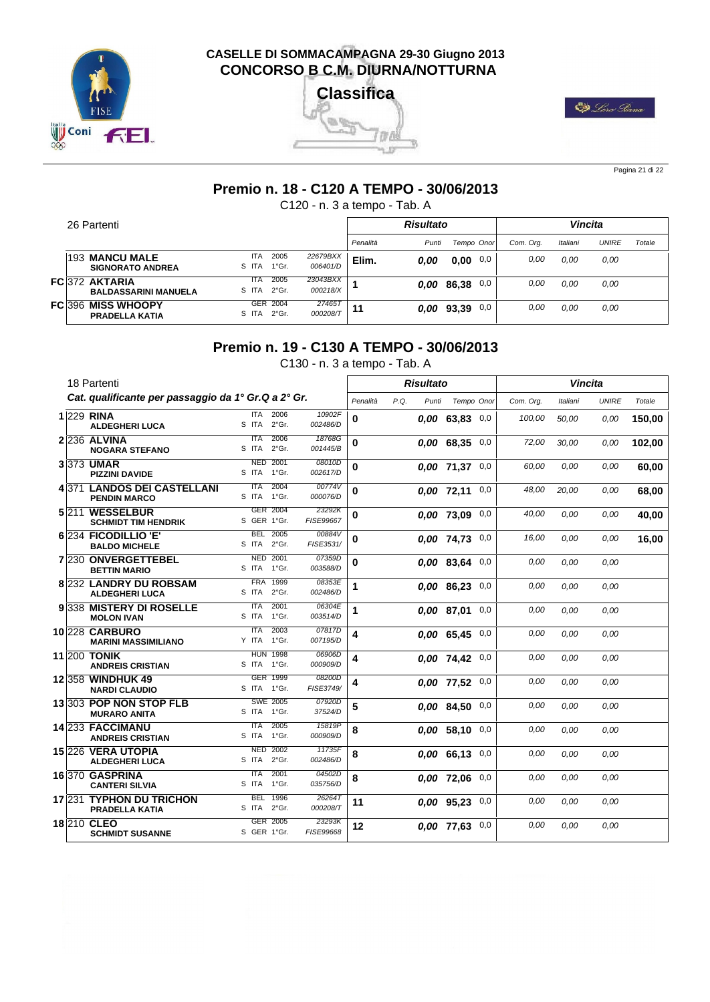





Pagina 21 di 22

#### **Premio n. 18 - C120 A TEMPO - 30/06/2013**

C120 - n. 3 a tempo - Tab. A

|  | 26 Partenti                                   |                     |                             |                      |          | Risultato  |             |           |          | <b>Vincita</b> |        |
|--|-----------------------------------------------|---------------------|-----------------------------|----------------------|----------|------------|-------------|-----------|----------|----------------|--------|
|  |                                               |                     |                             |                      | Penalità | Punti      | Tempo Onor  | Com. Org. | Italiani | <b>UNIRE</b>   | Totale |
|  | 193 MANCU MALE<br><b>SIGNORATO ANDREA</b>     | <b>ITA</b><br>S ITA | 2005<br>$1^{\circ}$ Gr.     | 22679BXX<br>006401/D | Elim.    | 0.00       | 0,00<br>0,0 | 0.00      | 0.00     | 0.00           |        |
|  | FC 372 AKTARIA<br><b>BALDASSARINI MANUELA</b> | <b>ITA</b><br>S ITA | 2005<br>2°Gr.               | 23043BXX<br>000218/X |          | 0.00 86,38 | 0,0         | 0.00      | 0.00     | 0.00           |        |
|  | FC 396 MISS WHOOPY<br><b>PRADELLA KATIA</b>   | S ITA               | GER 2004<br>$2^{\circ}$ Gr. | 274657<br>000208/T   | 11       | 0,00 93,39 | 0,0         | 0.00      | 0,00     | 0.00           |        |

#### **Premio n. 19 - C130 A TEMPO - 30/06/2013**

C130 - n. 3 a tempo - Tab. A

|  | 18 Partenti                                         |                                         |                     |                         | <b>Risultato</b> |                    |     |           |          | <b>Vincita</b> |        |
|--|-----------------------------------------------------|-----------------------------------------|---------------------|-------------------------|------------------|--------------------|-----|-----------|----------|----------------|--------|
|  | Cat. qualificante per passaggio da 1° Gr.Q a 2° Gr. |                                         |                     | Penalità                | P.Q.<br>Punti    | Tempo Onor         |     | Com. Ora. | Italiani | <b>UNIRE</b>   | Totale |
|  | 1 229 RINA<br><b>ALDEGHERI LUCA</b>                 | <b>ITA</b><br>2006<br>2°Gr.<br>S ITA    | 10902F<br>002486/D  | 0                       |                  | $0.00$ 63.83 0,0   |     | 100,00    | 50,00    | 0,00           | 150.00 |
|  | 2 236 ALVINA<br><b>NOGARA STEFANO</b>               | 2006<br><b>ITA</b><br>$2°$ Gr.<br>S ITA | 18768G<br>001445/B  | 0                       |                  | $0,00$ 68,35 0,0   |     | 72,00     | 30,00    | 0,00           | 102,00 |
|  | 3 373 UMAR<br><b>PIZZINI DAVIDE</b>                 | <b>NED</b><br>2001<br>1°Gr.<br>S ITA    | 08010D<br>002617/D  | 0                       |                  | $0.00$ 71,37 0,0   |     | 60.00     | 0.00     | 0.00           | 60,00  |
|  | 4371 LANDOS DEI CASTELLANI<br><b>PENDIN MARCO</b>   | 2004<br><b>ITA</b><br>S ITA<br>1°Gr.    | 00774V<br>000076/D  | 0                       |                  | $0.00$ 72,11 0,0   |     | 48,00     | 20.00    | 0.00           | 68,00  |
|  | 5211 WESSELBUR<br><b>SCHMIDT TIM HENDRIK</b>        | GER 2004<br>S GER 1°Gr.                 | 23292K<br>FISE99667 | 0                       |                  | 0,00 73,09         | 0,0 | 40,00     | 0.00     | 0.00           | 40,00  |
|  | 6 234 FICODILLIO 'E'<br><b>BALDO MICHELE</b>        | <b>BEL</b><br>2005<br>$2°$ Gr.<br>S ITA | 00884V<br>FISE3531/ | 0                       |                  | 0.00 74,73 0,0     |     | 16,00     | 0.00     | 0,00           | 16,00  |
|  | 7 230 ONVERGETTEBEL<br><b>BETTIN MARIO</b>          | <b>NED</b><br>2001<br>S ITA<br>1°Gr.    | 07359D<br>003588/D  | 0                       |                  | $0,00$ 83,64 0,0   |     | 0.00      | 0.00     | 0.00           |        |
|  | 8 232 LANDRY DU ROBSAM<br><b>ALDEGHERI LUCA</b>     | 1999<br><b>FRA</b><br>S ITA<br>$2°$ Gr. | 08353E<br>002486/D  | 1                       |                  | 0.00 86,23         | 0,0 | 0.00      | 0.00     | 0.00           |        |
|  | 9338 MISTERY DI ROSELLE<br><b>MOLON IVAN</b>        | 2001<br><b>ITA</b><br>1°Gr.<br>S ITA    | 06304E<br>003514/D  | 1                       |                  | 0.00 87.01         | 0,0 | 0.00      | 0.00     | 0.00           |        |
|  | <b>10 228 CARBURO</b><br><b>MARINI MASSIMILIANO</b> | 2003<br><b>ITA</b><br>Y ITA<br>1°Gr.    | 07817D<br>007195/D  | 4                       |                  | $0,00$ 65,45 0,0   |     | 0.00      | 0.00     | 0.00           |        |
|  | <b>11 200 TONIK</b><br><b>ANDREIS CRISTIAN</b>      | <b>HUN 1998</b><br>S ITA<br>1°Gr.       | 06906D<br>000909/D  | $\overline{\mathbf{4}}$ |                  | 0,00 74,42 0,0     |     | 0,00      | 0.00     | 0.00           |        |
|  | 12 358 WINDHUK 49<br><b>NARDI CLAUDIO</b>           | GER 1999<br>S ITA 1°Gr.                 | 08200D<br>FISE3749/ | 4                       |                  | 0.00 77.52         | 0,0 | 0,00      | 0.00     | 0.00           |        |
|  | 13 303 POP NON STOP FLB<br><b>MURARO ANITA</b>      | <b>SWE 2005</b><br>S ITA<br>1°Gr.       | 07920D<br>37524/D   | 5                       |                  | $0.00$ 84,50 $0.0$ |     | 0.00      | 0.00     | 0.00           |        |
|  | 14 233 FACCIMANU<br><b>ANDREIS CRISTIAN</b>         | 2005<br><b>ITA</b><br>1°Gr.<br>S ITA    | 15819P<br>000909/D  | 8                       |                  | $0.00$ 58.10 $0.0$ |     | 0,00      | 0.00     | 0,00           |        |
|  | 15 226 VERA UTOPIA<br><b>ALDEGHERI LUCA</b>         | <b>NED 2002</b><br>$2°$ Gr.<br>S ITA    | 11735F<br>002486/D  | 8                       |                  | $0.00$ 66.13 0,0   |     | 0,00      | 0.00     | 0.00           |        |
|  | 16370 GASPRINA<br><b>CANTERI SILVIA</b>             | 2001<br><b>ITA</b><br>S ITA<br>1°Gr.    | 04502D<br>035756/D  | 8                       |                  | 0,00 72,06 0,0     |     | 0.00      | 0.00     | 0.00           |        |
|  | 17 231 TYPHON DU TRICHON<br><b>PRADELLA KATIA</b>   | <b>BEL</b><br>1996<br>S ITA<br>2°Gr.    | 26264T<br>000208/T  | 11                      |                  | 0.00 95,23         | 0,0 | 0.00      | 0.00     | 0.00           |        |
|  | 18 210 CLEO<br><b>SCHMIDT SUSANNE</b>               | <b>GER</b><br>2005<br>S GER 1°Gr.       | 23293K<br>FISE99668 | 12                      |                  | 0.00 77.63         | 0,0 | 0.00      | 0.00     | 0,00           |        |